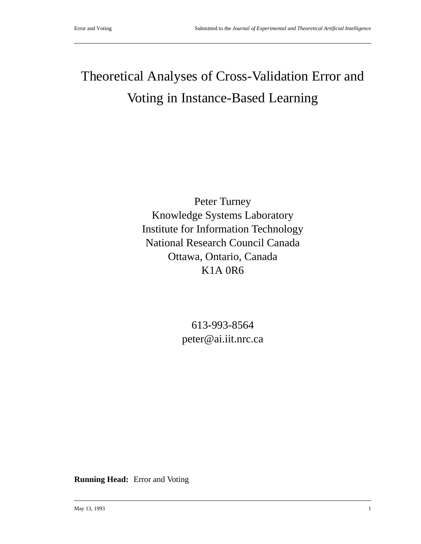# Theoretical Analyses of Cross-Validation Error and Voting in Instance-Based Learning

Peter Turney Knowledge Systems Laboratory Institute for Information Technology National Research Council Canada Ottawa, Ontario, Canada K1A 0R6

> 613-993-8564 peter@ai.iit.nrc.ca

**Running Head:** Error and Voting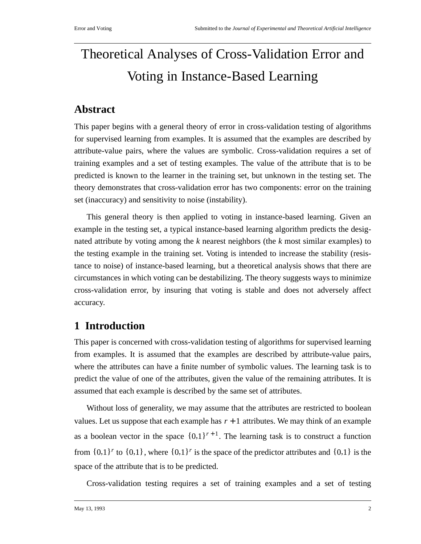# Theoretical Analyses of Cross-Validation Error and Voting in Instance-Based Learning

# **Abstract**

This paper begins with a general theory of error in cross-validation testing of algorithms for supervised learning from examples. It is assumed that the examples are described by attribute-value pairs, where the values are symbolic. Cross-validation requires a set of training examples and a set of testing examples. The value of the attribute that is to be predicted is known to the learner in the training set, but unknown in the testing set. The theory demonstrates that cross-validation error has two components: error on the training set (inaccuracy) and sensitivity to noise (instability).

This general theory is then applied to voting in instance-based learning. Given an example in the testing set, a typical instance-based learning algorithm predicts the designated attribute by voting among the *k* nearest neighbors (the *k* most similar examples) to the testing example in the training set. Voting is intended to increase the stability (resistance to noise) of instance-based learning, but a theoretical analysis shows that there are circumstances in which voting can be destabilizing. The theory suggests ways to minimize cross-validation error, by insuring that voting is stable and does not adversely affect accuracy.

# **1 Introduction**

This paper is concerned with cross-validation testing of algorithms for supervised learning from examples. It is assumed that the examples are described by attribute-value pairs, where the attributes can have a finite number of symbolic values. The learning task is to predict the value of one of the attributes, given the value of the remaining attributes. It is assumed that each example is described by the same set of attributes.

Without loss of generality, we may assume that the attributes are restricted to boolean values. Let us suppose that each example has  $r + 1$  attributes. We may think of an example as a boolean vector in the space  $\{0,1\}^{r+1}$ . The learning task is to construct a function from  $\{0,1\}^r$  to  $\{0,1\}$ , where  $\{0,1\}^r$  is the space of the predictor attributes and  $\{0,1\}$  is the space of the attribute that is to be predicted.

Cross-validation testing requires a set of training examples and a set of testing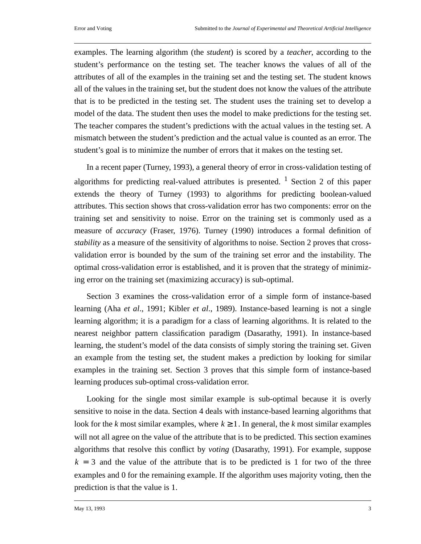examples. The learning algorithm (the *student*) is scored by a *teacher*, according to the student's performance on the testing set. The teacher knows the values of all of the attributes of all of the examples in the training set and the testing set. The student knows all of the values in the training set, but the student does not know the values of the attribute that is to be predicted in the testing set. The student uses the training set to develop a model of the data. The student then uses the model to make predictions for the testing set. The teacher compares the student's predictions with the actual values in the testing set. A mismatch between the student's prediction and the actual value is counted as an error. The student's goal is to minimize the number of errors that it makes on the testing set.

In a recent paper (Turney, 1993), a general theory of error in cross-validation testing of algorithms for predicting real-valued attributes is presented.  $\frac{1}{1}$  Section 2 of this paper extends the theory of Turney (1993) to algorithms for predicting boolean-valued attributes. This section shows that cross-validation error has two components: error on the training set and sensitivity to noise. Error on the training set is commonly used as a measure of *accuracy* (Fraser, 1976). Turney (1990) introduces a formal definition of *stability* as a measure of the sensitivity of algorithms to noise. Section 2 proves that crossvalidation error is bounded by the sum of the training set error and the instability. The optimal cross-validation error is established, and it is proven that the strategy of minimizing error on the training set (maximizing accuracy) is sub-optimal.

Section 3 examines the cross-validation error of a simple form of instance-based learning (Aha *et al*., 1991; Kibler *et al*., 1989). Instance-based learning is not a single learning algorithm; it is a paradigm for a class of learning algorithms. It is related to the nearest neighbor pattern classification paradigm (Dasarathy, 1991). In instance-based learning, the student's model of the data consists of simply storing the training set. Given an example from the testing set, the student makes a prediction by looking for similar examples in the training set. Section 3 proves that this simple form of instance-based learning produces sub-optimal cross-validation error.

Looking for the single most similar example is sub-optimal because it is overly sensitive to noise in the data. Section 4 deals with instance-based learning algorithms that look for the *k* most similar examples, where  $k \geq 1$ . In general, the *k* most similar examples will not all agree on the value of the attribute that is to be predicted. This section examines algorithms that resolve this conflict by *voting* (Dasarathy, 1991). For example, suppose  $k = 3$  and the value of the attribute that is to be predicted is 1 for two of the three examples and 0 for the remaining example. If the algorithm uses majority voting, then the prediction is that the value is 1.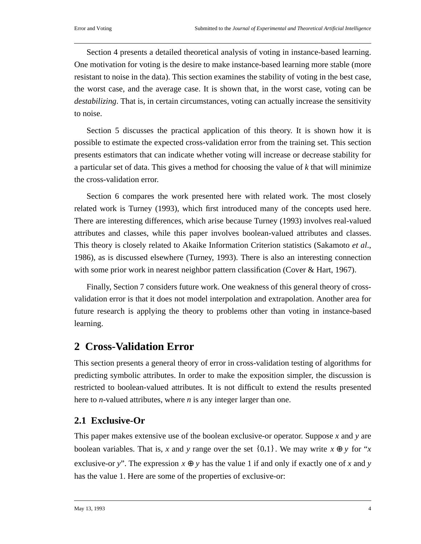Section 4 presents a detailed theoretical analysis of voting in instance-based learning. One motivation for voting is the desire to make instance-based learning more stable (more resistant to noise in the data). This section examines the stability of voting in the best case, the worst case, and the average case. It is shown that, in the worst case, voting can be *destabilizing*. That is, in certain circumstances, voting can actually increase the sensitivity to noise.

Section 5 discusses the practical application of this theory. It is shown how it is possible to estimate the expected cross-validation error from the training set. This section presents estimators that can indicate whether voting will increase or decrease stability for a particular set of data. This gives a method for choosing the value of *k* that will minimize the cross-validation error.

Section 6 compares the work presented here with related work. The most closely related work is Turney (1993), which first introduced many of the concepts used here. There are interesting differences, which arise because Turney (1993) involves real-valued attributes and classes, while this paper involves boolean-valued attributes and classes. This theory is closely related to Akaike Information Criterion statistics (Sakamoto *et al*., 1986), as is discussed elsewhere (Turney, 1993). There is also an interesting connection with some prior work in nearest neighbor pattern classification (Cover & Hart, 1967).

Finally, Section 7 considers future work. One weakness of this general theory of crossvalidation error is that it does not model interpolation and extrapolation. Another area for future research is applying the theory to problems other than voting in instance-based learning.

# **2 Cross-Validation Error**

This section presents a general theory of error in cross-validation testing of algorithms for predicting symbolic attributes. In order to make the exposition simpler, the discussion is restricted to boolean-valued attributes. It is not difficult to extend the results presented here to *n*-valued attributes, where *n* is any integer larger than one.

## **2.1 Exclusive-Or**

This paper makes extensive use of the boolean exclusive-or operator. Suppose *x* and *y* are boolean variables. That is, *x* and *y* range over the set  $\{0,1\}$ . We may write  $x \oplus y$  for "*x* exclusive-or *y*". The expression  $x \oplus y$  has the value 1 if and only if exactly one of *x* and *y* has the value 1. Here are some of the properties of exclusive-or: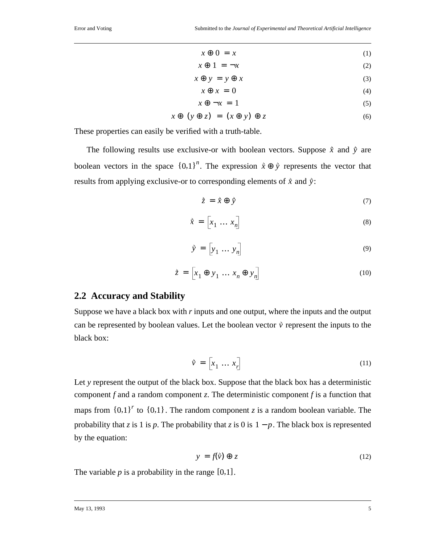$$
x \oplus 0 = x \tag{1}
$$

$$
x \oplus 1 = -x \tag{2}
$$

$$
x \oplus y = y \oplus x \tag{3}
$$

$$
x \oplus x = 0 \tag{4}
$$

$$
x \oplus \neg x = 1 \tag{5}
$$

$$
x \oplus (y \oplus z) = (x \oplus y) \oplus z \tag{6}
$$

These properties can easily be verified with a truth-table.

The following results use exclusive-or with boolean vectors. Suppose  $\dot{x}$  and  $\dot{y}$  are boolean vectors in the space  ${0,1}^n$ . The expression  $\vec{x} \oplus \vec{y}$  represents the vector that results from applying exclusive-or to corresponding elements of  $\hat{x}$  and  $\hat{y}$ :

$$
\dot{\vec{z}} = \vec{x} \oplus \vec{y} \tag{7}
$$

$$
\tilde{x} = \begin{bmatrix} x_1 & \dots & x_n \end{bmatrix} \tag{8}
$$

$$
\tilde{y} = \begin{bmatrix} y_1 & \dots & y_n \end{bmatrix} \tag{9}
$$

$$
\dot{\bar{z}} = \left[ x_1 \oplus y_1 \dots x_n \oplus y_n \right] \tag{10}
$$

### **2.2 Accuracy and Stability**

Suppose we have a black box with *r* inputs and one output, where the inputs and the output can be represented by boolean values. Let the boolean vector  $\vec{v}$  represent the inputs to the black box:

$$
\vec{v} = \begin{bmatrix} x_1 & \dots & x_r \end{bmatrix} \tag{11}
$$

Let y represent the output of the black box. Suppose that the black box has a deterministic component *f* and a random component *z*. The deterministic component *f* is a function that maps from  ${0,1}^r$  to  ${0,1}$ . The random component *z* is a random boolean variable. The probability that *z* is 1 is *p*. The probability that *z* is 0 is  $1 - p$ . The black box is represented by the equation:

$$
y = f(\vec{v}) \oplus z \tag{12}
$$

The variable  $p$  is a probability in the range  $[0,1]$ .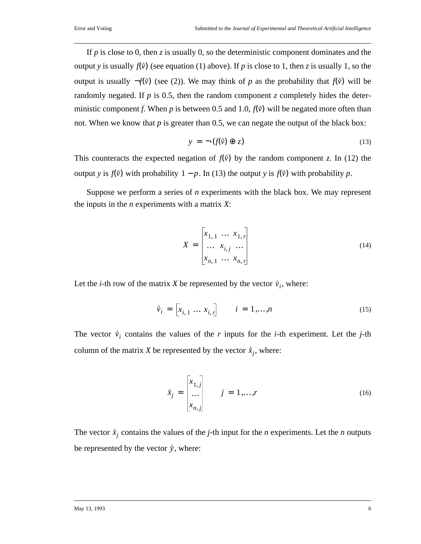If *p* is close to 0, then *z* is usually 0, so the deterministic component dominates and the output *y* is usually  $f(\vec{v})$  (see equation (1) above). If *p* is close to 1, then *z* is usually 1, so the output is usually  $\neg f(\vec{v})$  (see (2)). We may think of *p* as the probability that  $f(\vec{v})$  will be randomly negated. If  $p$  is 0.5, then the random component  $\zeta$  completely hides the deterministic component *f*. When *p* is between 0.5 and 1.0,  $f(\vec{v})$  will be negated more often than not. When we know that *p* is greater than 0.5, we can negate the output of the black box:

$$
y = \neg(f(\tilde{v}) \oplus z) \tag{13}
$$

This counteracts the expected negation of  $f(\vec{v})$  by the random component *z*. In (12) the output *y* is  $f(\vec{v})$  with probability  $1 - p$ . In (13) the output *y* is  $f(\vec{v})$  with probability *p*.

Suppose we perform a series of *n* experiments with the black box. We may represent the inputs in the *n* experiments with a matrix *X*:

$$
X = \begin{bmatrix} x_{1,1} & \dots & x_{1,r} \\ \dots & x_{i,j} & \dots \\ x_{n,1} & \dots & x_{n,r} \end{bmatrix}
$$
 (14)

Let the *i*-th row of the matrix *X* be represented by the vector  $\vec{v}_i$ , where:

$$
\vec{v}_i = [x_{i,1} \dots x_{i,r}] \qquad i = 1,...,n \tag{15}
$$

The vector  $\vec{v}_i$  contains the values of the *r* inputs for the *i*-th experiment. Let the *j*-th column of the matrix *X* be represented by the vector  $\vec{x}_j$ , where:

$$
\hat{x}_j = \begin{bmatrix} x_{1,j} \\ \dots \\ x_{n,j} \end{bmatrix} \qquad j = 1, \dots, r \tag{16}
$$

The vector  $\dot{x}_j$  contains the values of the *j*-th input for the *n* experiments. Let the *n* outputs be represented by the vector  $\dot{y}$ , where: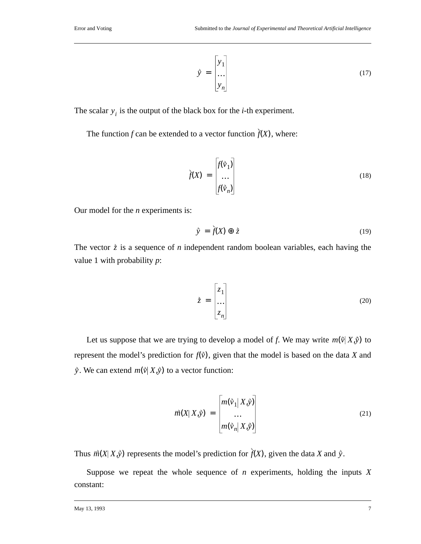$$
\tilde{y} = \begin{bmatrix} y_1 \\ \dots \\ y_n \end{bmatrix} \tag{17}
$$

The scalar  $y_i$  is the output of the black box for the *i*-th experiment.

The function *f* can be extended to a vector function  $f(X)$ , where:

$$
\tilde{f}(X) = \begin{bmatrix} f(\tilde{v}_1) \\ \dots \\ f(\tilde{v}_n) \end{bmatrix}
$$
\n(18)

Our model for the *n* experiments is:

$$
\vec{y} = \vec{f}(X) \oplus \vec{z} \tag{19}
$$

The vector  $\dot{z}$  is a sequence of *n* independent random boolean variables, each having the value 1 with probability *p*:

$$
\dot{\bar{z}} = \begin{bmatrix} z_1 \\ \dots \\ z_n \end{bmatrix} \tag{20}
$$

Let us suppose that we are trying to develop a model of f. We may write  $m(\vec{v}|X,\vec{y})$  to represent the model's prediction for  $f(\vec{v})$ , given that the model is based on the data *X* and  $\vec{y}$ . We can extend  $m(\vec{v} | X, \vec{y})$  to a vector function:

$$
\overrightarrow{m}(X|X,\overrightarrow{y}) = \begin{bmatrix} m(\overrightarrow{v}_1|X,\overrightarrow{y}) \\ \dots \\ m(\overrightarrow{v}_n|X,\overrightarrow{y}) \end{bmatrix}
$$
(21)

Thus  $\vec{m}(X|X,\hat{y})$  represents the model's prediction for  $f(X)$ , given the data *X* and  $\hat{y}$ .

Suppose we repeat the whole sequence of *n* experiments, holding the inputs *X* constant: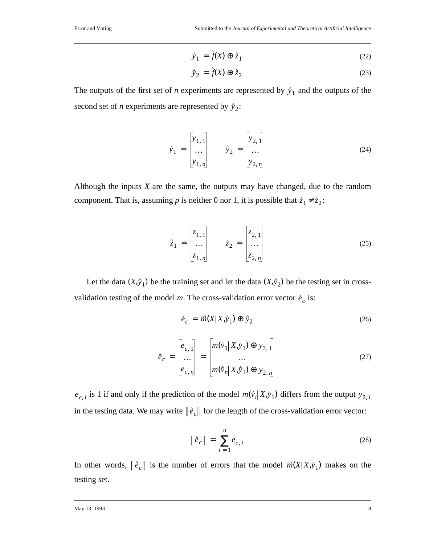$$
\dot{\tilde{y}}_1 = \dot{f}(X) \oplus \dot{z}_1 \tag{22}
$$

$$
\vec{y}_2 = \dot{f}(X) \oplus \dot{z}_2 \tag{23}
$$

The outputs of the first set of *n* experiments are represented by  $\hat{y}_1$  and the outputs of the second set of *n* experiments are represented by  $\tilde{y}_2$ :

$$
\tilde{y}_1 = \begin{bmatrix} y_{1,1} \\ \dots \\ y_{1,n} \end{bmatrix} \qquad \tilde{y}_2 = \begin{bmatrix} y_{2,1} \\ \dots \\ y_{2,n} \end{bmatrix}
$$
 (24)

Although the inputs *X* are the same, the outputs may have changed, due to the random component. That is, assuming *p* is neither 0 nor 1, it is possible that  $\dot{z}_1 \neq \dot{z}_2$ :

$$
\dot{\vec{z}}_1 = \begin{bmatrix} z_{1,1} \\ \dots \\ z_{1,n} \end{bmatrix} \qquad \dot{\vec{z}}_2 = \begin{bmatrix} z_{2,1} \\ \dots \\ z_{2,n} \end{bmatrix}
$$
 (25)

Let the data  $(X, \hat{y}_1)$  be the training set and let the data  $(X, \hat{y}_2)$  be the testing set in crossvalidation testing of the model *m*. The cross-validation error vector  $\hat{e}_c$  is:

$$
\dot{\vec{e}}_c = \vec{m}(X|X,\dot{y}_1) \oplus \dot{y}_2 \tag{26}
$$

$$
\vec{e}_c = \begin{bmatrix} e_{c,1} \\ \dots \\ e_{c,n} \end{bmatrix} = \begin{bmatrix} m(\vec{v}_1 | X, \vec{y}_1) \oplus y_{2,1} \\ \dots \\ m(\vec{v}_n | X, \vec{y}_1) \oplus y_{2,n} \end{bmatrix}
$$
(27)

 $e_{c,i}$  is 1 if and only if the prediction of the model  $m(\tilde{v}_i|X,\tilde{y}_1)$  differs from the output  $y_{2,i}$ in the testing data. We may write  $\|\tilde{e}_c\|$  for the length of the cross-validation error vector:

$$
\|\hat{e}_c\| = \sum_{i=1}^n e_{c,i}
$$
 (28)

In other words,  $\|\tilde{e}_c\|$  is the number of errors that the model  $\vec{m}(X|X,\tilde{y}_1)$  makes on the testing set.

May 13, 1993 8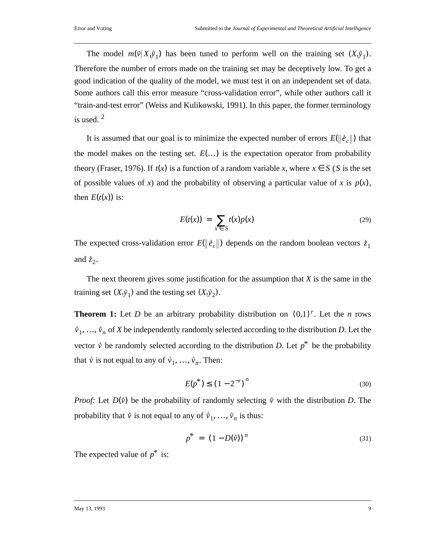The model  $m(\vec{v} | X, \vec{y}_1)$  has been tuned to perform well on the training set  $(X, \vec{y}_1)$ . Therefore the number of errors made on the training set may be deceptively low. To get a good indication of the quality of the model, we must test it on an independent set of data. Some authors call this error measure "cross-validation error", while other authors call it "train-and-test error" (Weiss and Kulikowski, 1991). In this paper, the former terminology is used. <sup>2</sup>

It is assumed that our goal is to minimize the expected number of errors  $E(\Vert \hat{e}_c \Vert)$  that the model makes on the testing set.  $E(...)$  is the expectation operator from probability theory (Fraser, 1976). If  $t(x)$  is a function of a random variable x, where  $x \in S$  (S is the set of possible values of *x*) and the probability of observing a particular value of *x* is  $p(x)$ , then  $E(t(x))$  is:

$$
E(t(x)) = \sum_{x \in S} t(x)p(x)
$$
 (29)

The expected cross-validation error  $E(\|\tilde{e}_c\|)$  depends on the random boolean vectors  $\dot{z}_1$ and  $\dot{z}_2$ .

The next theorem gives some justification for the assumption that *X* is the same in the training set  $(X, \hat{y}_1)$  and the testing set  $(X, \hat{y}_2)$ .

**Theorem 1:** Let *D* be an arbitrary probability distribution on  $\{0,1\}^r$ . Let the *n* rows  $\vec{v}_1, \ldots, \vec{v}_n$  of *X* be independently randomly selected according to the distribution *D*. Let the vector  $\vec{v}$  be randomly selected according to the distribution *D*. Let  $p^*$  be the probability that  $\vec{v}$  is not equal to any of  $\vec{v}_1, \ldots, \vec{v}_n$ . Then:

$$
E(p^*) \le (1 - 2^{-r})^n \tag{30}
$$

*Proof:* Let  $D(\vec{v})$  be the probability of randomly selecting  $\vec{v}$  with the distribution *D*. The probability that  $\vec{v}$  is not equal to any of  $\vec{v}_1, \ldots, \vec{v}_n$  is thus:

$$
p^* = (1 - D(\tilde{v}))^n
$$
 (31)

The expected value of  $p^*$  is:

#### May 13, 1993 9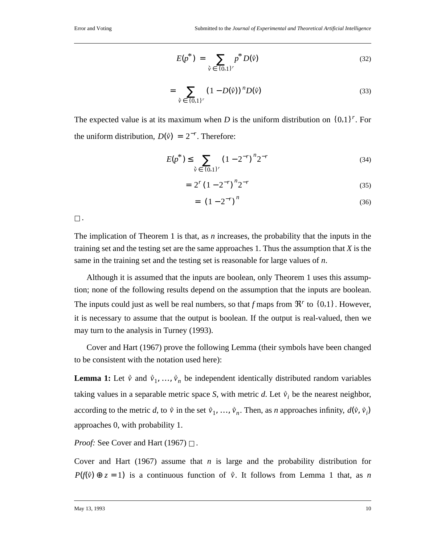$$
E(p^*) = \sum_{\vec{v} \in \{0,1\}^r} p^* D(\vec{v}) \tag{32}
$$

$$
= \sum_{\tilde{v} \in \{0,1\}^r} (1 - D(\tilde{v}))^n D(\tilde{v}) \tag{33}
$$

The expected value is at its maximum when *D* is the uniform distribution on  $\{0,1\}^r$ . For the uniform distribution,  $D(\vec{v}) = 2^{-r}$ . Therefore:

$$
E(p^*) \le \sum_{\tilde{v} \in \{0,1\}^r} (1 - 2^{-r})^n 2^{-r}
$$
 (34)

$$
=2^{r}(1-2^{-r})^{n}2^{-r}
$$
\n(35)

$$
= \left(1 - 2^{-r}\right)^n \tag{36}
$$

 $\square$ .

The implication of Theorem 1 is that, as *n* increases, the probability that the inputs in the training set and the testing set are the same approaches 1. Thus the assumption that *X* is the same in the training set and the testing set is reasonable for large values of *n*.

Although it is assumed that the inputs are boolean, only Theorem 1 uses this assumption; none of the following results depend on the assumption that the inputs are boolean. The inputs could just as well be real numbers, so that *f* maps from  $\mathfrak{R}^r$  to  $\{0,1\}$ . However, it is necessary to assume that the output is boolean. If the output is real-valued, then we may turn to the analysis in Turney (1993).

Cover and Hart (1967) prove the following Lemma (their symbols have been changed to be consistent with the notation used here):

**Lemma 1:** Let  $\vec{v}$  and  $\vec{v}_1, ..., \vec{v}_n$  be independent identically distributed random variables taking values in a separable metric space *S*, with metric *d*. Let  $\hat{v}_i$  be the nearest neighbor, according to the metric *d*, to  $\vec{v}$  in the set  $\vec{v}_1, \ldots, \vec{v}_n$ . Then, as *n* approaches infinity,  $d(\vec{v}, \vec{v}_i)$ approaches 0, with probability 1.

*Proof:* See Cover and Hart (1967) □.

Cover and Hart (1967) assume that *n* is large and the probability distribution for  $P(f(\vec{v}) \oplus z = 1)$  is a continuous function of  $\vec{v}$ . It follows from Lemma 1 that, as *n*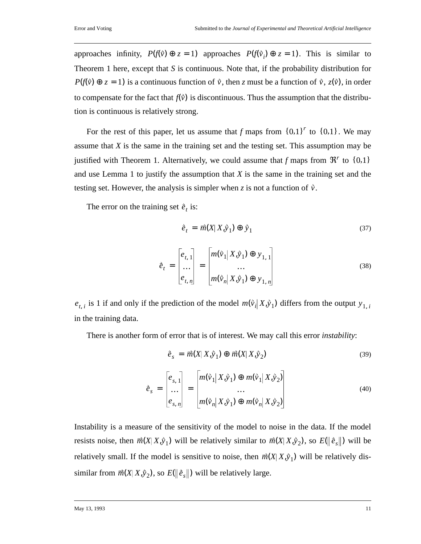approaches infinity,  $P(f(\vec{v}) \oplus z = 1)$  approaches  $P(f(\vec{v}_i) \oplus z = 1)$ . This is similar to Theorem 1 here, except that *S* is continuous. Note that, if the probability distribution for  $P(f(\vec{v}) \oplus z = 1)$  is a continuous function of  $\vec{v}$ , then *z* must be a function of  $\vec{v}$ ,  $z(\vec{v})$ , in order to compensate for the fact that  $f(\vec{v})$  is discontinuous. Thus the assumption that the distribution is continuous is relatively strong.

For the rest of this paper, let us assume that *f* maps from  $\{0,1\}^r$  to  $\{0,1\}$ . We may assume that *X* is the same in the training set and the testing set. This assumption may be justified with Theorem 1. Alternatively, we could assume that *f* maps from  $\mathfrak{R}^r$  to  $\{0,1\}$ and use Lemma 1 to justify the assumption that *X* is the same in the training set and the testing set. However, the analysis is simpler when *z* is not a function of  $\tilde{v}$ .

The error on the training set  $\hat{e}_t$  is:

$$
\dot{\vec{e}}_t = \vec{m}(X|X,\hat{y}_1) \oplus \hat{y}_1 \tag{37}
$$

$$
\tilde{e}_t = \begin{bmatrix} e_{t,1} \\ \dots \\ e_{t,n} \end{bmatrix} = \begin{bmatrix} m(\tilde{v}_1 | X, \tilde{y}_1) \oplus y_{1,1} \\ \dots \\ m(\tilde{v}_n | X, \tilde{y}_1) \oplus y_{1,n} \end{bmatrix}
$$
(38)

 $e_{t,i}$  is 1 if and only if the prediction of the model  $m(\tilde{v}_i | X, \tilde{y}_1)$  differs from the output  $y_{1,i}$ in the training data.

There is another form of error that is of interest. We may call this error *instability*:

$$
\tilde{e}_s = \vec{m}(X|X,\tilde{y}_1) \oplus \vec{m}(X|X,\tilde{y}_2)
$$
\n(39)

$$
\hat{e}_s = \begin{bmatrix} e_{s,1} \\ \dots \\ e_{s,n} \end{bmatrix} = \begin{bmatrix} m(\vec{v}_1 | X, \vec{y}_1) \oplus m(\vec{v}_1 | X, \vec{y}_2) \\ \dots \\ m(\vec{v}_n | X, \vec{y}_1) \oplus m(\vec{v}_n | X, \vec{y}_2) \end{bmatrix}
$$
(40)

Instability is a measure of the sensitivity of the model to noise in the data. If the model resists noise, then  $\vec{m}(X|X,\hat{y}_1)$  will be relatively similar to  $\vec{m}(X|X,\hat{y}_2)$ , so  $E(||\hat{e}_s||)$  will be relatively small. If the model is sensitive to noise, then  $\vec{m}(X|X,\hat{y}_1)$  will be relatively dissimilar from  $\vec{m}(X|X, \hat{y}_2)$ , so  $E(\|\hat{e}_s\|)$  will be relatively large.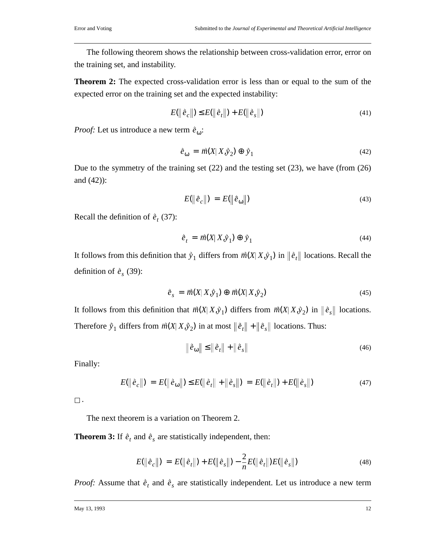The following theorem shows the relationship between cross-validation error, error on the training set, and instability.

**Theorem 2:** The expected cross-validation error is less than or equal to the sum of the expected error on the training set and the expected instability:

$$
E(||\hat{e}_c||) \le E(||\hat{e}_t||) + E(||\hat{e}_s||)
$$
\n(41)

*Proof:* Let us introduce a new term  $\dot{e}_{\omega}$ :

$$
\dot{\vec{e}}_{\omega} = \vec{m}(X|X,\dot{y}_2) \oplus \dot{y}_1 \tag{42}
$$

Due to the symmetry of the training set (22) and the testing set (23), we have (from (26) and (42)):

$$
E(\left\|\hat{e}_c\right\|) = E(\left\|\hat{e}_\omega\right\|) \tag{43}
$$

Recall the definition of  $\hat{e}_t$  (37):

$$
\dot{\vec{e}}_t = \vec{m}(X|X,\dot{y}_1) \oplus \dot{y}_1 \tag{44}
$$

It follows from this definition that  $\hat{y}_1$  differs from  $\vec{m}(X|X,\hat{y}_1)$  in  $\|\hat{e}_t\|$  locations. Recall the definition of  $\vec{e}_s$  (39):

$$
\tilde{e}_s = \overrightarrow{m}(X|X,\hat{y}_1) \oplus \overrightarrow{m}(X|X,\hat{y}_2) \tag{45}
$$

It follows from this definition that  $\vec{m}(X|X,\hat{y}_1)$  differs from  $\vec{m}(X|X,\hat{y}_2)$  in  $\|\hat{e}_s\|$  locations. Therefore  $\dot{y}_1$  differs from  $\vec{m}(X|X,\dot{y}_2)$  in at most  $\|\dot{e}_t\| + \|\dot{e}_s\|$  locations. Thus:

$$
\left\|\hat{\vec{e}}_{\omega}\right\| \le \left\|\hat{\vec{e}}_{t}\right\| + \left\|\hat{\vec{e}}_{s}\right\| \tag{46}
$$

Finally:

$$
E(||\hat{e}_c||) = E(||\hat{e}_\omega||) \le E(||\hat{e}_t|| + ||\hat{e}_s||) = E(||\hat{e}_t||) + E(||\hat{e}_s||)
$$
\n(47)

 $\square$  .

The next theorem is a variation on Theorem 2.

**Theorem 3:** If  $\hat{e}_t$  and  $\hat{e}_s$  are statistically independent, then:

$$
E(||\hat{e}_c||) = E(||\hat{e}_t||) + E(||\hat{e}_s||) - \frac{2}{n}E(||\hat{e}_t||)E(||\hat{e}_s||)
$$
\n(48)

*Proof:* Assume that  $\hat{e}_t$  and  $\hat{e}_s$  are statistically independent. Let us introduce a new term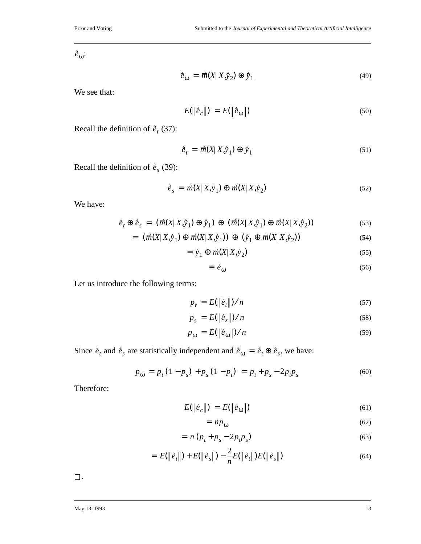: *e*ω

$$
\dot{\vec{e}}_{\omega} = \vec{m}(X|X,\dot{y}_2) \oplus \dot{y}_1 \tag{49}
$$

We see that:

$$
E(\left\|\hat{e}_c\right\|) = E(\left\|\hat{e}_{\omega}\right\|) \tag{50}
$$

Recall the definition of  $\hat{e}_t$  (37):

$$
\dot{\vec{e}}_t = \vec{m}(X|X,\hat{y}_1) \oplus \hat{y}_1 \tag{51}
$$

Recall the definition of  $\hat{e}_s$  (39):

$$
\tilde{e}_s = \vec{m}(X|X,\hat{y}_1) \oplus \vec{m}(X|X,\hat{y}_2) \tag{52}
$$

We have:

$$
\dot{\vec{e}}_t \oplus \dot{\vec{e}}_s = (\vec{m}(X | X, \dot{\vec{y}}_1) \oplus \dot{\vec{y}}_1) \oplus (\vec{m}(X | X, \dot{\vec{y}}_1) \oplus \vec{m}(X | X, \dot{\vec{y}}_2))
$$
\n(53)

$$
= \left( \overrightarrow{m}(X | X, \overrightarrow{y}_1) \oplus \overrightarrow{m}(X | X, \overrightarrow{y}_1) \right) \oplus \left( \overrightarrow{y}_1 \oplus \overrightarrow{m}(X | X, \overrightarrow{y}_2) \right) \tag{54}
$$

$$
= \tilde{y}_1 \oplus \vec{m}(X | X, \tilde{y}_2) \tag{55}
$$

$$
= \dot{\mathcal{e}}_{\omega} \tag{56}
$$

Let us introduce the following terms:

$$
p_t = E(||\hat{e}_t||)/n \tag{57}
$$

$$
p_s = E(||\hat{e}_s||)/n \tag{58}
$$

$$
p_{\omega} = E(\|\hat{e}_{\omega}\|)/n \tag{59}
$$

Since  $\hat{e}_t$  and  $\hat{e}_s$  are statistically independent and  $\hat{e}_{\omega} = \hat{e}_t \oplus \hat{e}_s$ , we have:

$$
p_{\omega} = p_t (1 - p_s) + p_s (1 - p_t) = p_t + p_s - 2p_t p_s \tag{60}
$$

Therefore:

$$
E(\left\|\tilde{e}_c\right\|) = E(\left\|\tilde{e}_{\omega}\right\|) \tag{61}
$$

$$
= np_{\omega} \tag{62}
$$

$$
= n (p_t + p_s - 2p_t p_s)
$$
\n(63)

$$
= E(||\hat{e}_t||) + E(||\hat{e}_s||) - \frac{2}{n}E(||\hat{e}_t||)E(||\hat{e}_s||)
$$
\n(64)

 $\Box$  .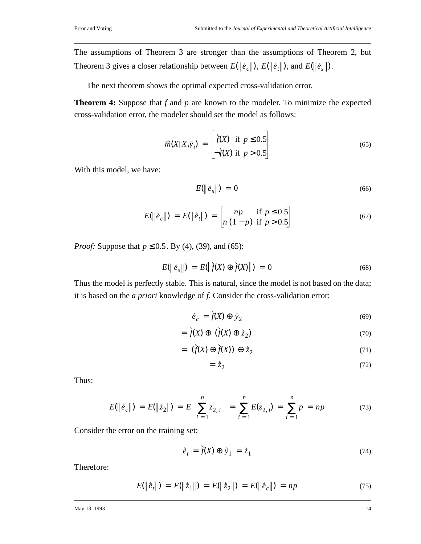The assumptions of Theorem 3 are stronger than the assumptions of Theorem 2, but Theorem 3 gives a closer relationship between  $E(\|\tilde{e}_c\|)$ ,  $E(\|\tilde{e}_t\|)$ , and  $E(\|\tilde{e}_s\|)$ .

The next theorem shows the optimal expected cross-validation error.

**Theorem 4:** Suppose that *f* and *p* are known to the modeler. To minimize the expected cross-validation error, the modeler should set the model as follows:

$$
\overrightarrow{m}(X|X,\overrightarrow{y}_i) = \begin{bmatrix} \overrightarrow{f}(X) & \text{if } p \le 0.5\\ -\overrightarrow{f}(X) & \text{if } p > 0.5 \end{bmatrix}
$$
(65)

With this model, we have:

$$
E(\left\|\hat{e}_s\right\|) = 0 \tag{66}
$$

$$
E(\|\tilde{e}_c\|) = E(\|\tilde{e}_t\|) = \begin{bmatrix} np & \text{if } p \le 0.5\\ n(1-p) & \text{if } p > 0.5 \end{bmatrix}
$$
 (67)

*Proof:* Suppose that  $p \le 0.5$ . By (4), (39), and (65):

$$
E(||\hat{e}_s||) = E(||\hat{f}(X) \oplus \hat{f}(X)||) = 0
$$
\n(68)

Thus the model is perfectly stable. This is natural, since the model is not based on the data; it is based on the *a priori* knowledge of *f*. Consider the cross-validation error:

$$
\dot{\vec{e}}_c = \dot{\vec{f}}(X) \oplus \dot{\vec{y}}_2 \tag{69}
$$

$$
= \dot{f}(X) \oplus (\dot{f}(X) \oplus \dot{z}_2) \tag{70}
$$

$$
= (\dot{f}(X) \oplus \dot{f}(X)) \oplus \dot{z}_2 \tag{71}
$$

$$
=\dot{\tilde{z}}_2\tag{72}
$$

Thus:

$$
E(\|\tilde{e}_c\|) = E(\|\tilde{z}_2\|) = E\left(\sum_{i=1}^n z_{2,i}\right) = \sum_{i=1}^n E(z_{2,i}) = \sum_{i=1}^n p = np \tag{73}
$$

Consider the error on the training set:

$$
\dot{\vec{e}}_t = \dot{\vec{f}}(X) \oplus \dot{\vec{y}}_1 = \dot{\vec{z}}_1 \tag{74}
$$

Therefore:

$$
E(\|\tilde{e}_t\|) = E(\|\tilde{z}_1\|) = E(\|\tilde{z}_2\|) = E(\|\tilde{e}_c\|) = np \tag{75}
$$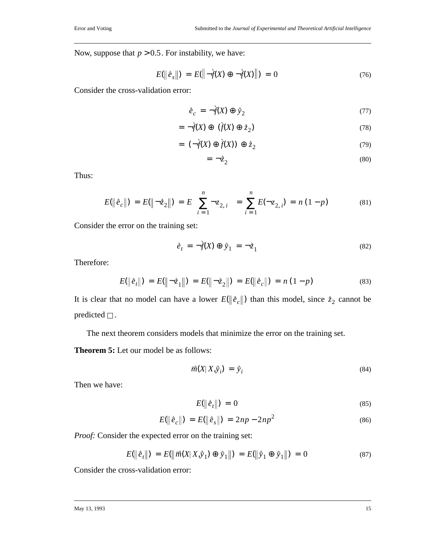Now, suppose that  $p > 0.5$ . For instability, we have:

$$
E(||\dot{e}_s||) = E(||\dot{f}(X) \oplus \dot{f}(X)||) = 0 \tag{76}
$$

Consider the cross-validation error:

$$
\dot{\vec{e}}_c = -\dot{\vec{f}}(X) \oplus \dot{\vec{y}}_2 \tag{77}
$$

$$
= \neg f(X) \oplus (\dot{f}(X) \oplus \dot{z}_2) \tag{78}
$$

$$
= (-\dot{f}(X) \oplus \dot{f}(X)) \oplus \dot{z}_2 \tag{79}
$$

$$
= \neg \dot{\vec{z}}_2 \tag{80}
$$

Thus:

$$
E(\|\tilde{e}_c\|) = E(\|\neg \tilde{z}_2\|) = E\left(\sum_{i=1}^n \neg z_{2,i}\right) = \sum_{i=1}^n E(\neg z_{2,i}) = n(1-p) \tag{81}
$$

Consider the error on the training set:

$$
\dot{\vec{e}}_t = -\dot{\vec{f}}(X) \oplus \dot{\vec{y}}_1 = -\dot{\vec{z}}_1 \tag{82}
$$

Therefore:

$$
E(\|\hat{e}_t\|) = E(\|\neg \hat{z}_1\|) = E(\|\neg \hat{z}_2\|) = E(\|\hat{e}_c\|) = n(1-p)
$$
\n(83)

It is clear that no model can have a lower  $E(\|\tilde{e}_c\|)$  than this model, since  $\dot{\tilde{z}}_2$  cannot be predicted  $\square$  .

The next theorem considers models that minimize the error on the training set.

**Theorem 5:** Let our model be as follows:

$$
\vec{m}(X|X,\vec{y}_i) = \vec{y}_i \tag{84}
$$

Then we have:

$$
E(\left\|\hat{e}_t\right\|) = 0 \tag{85}
$$

$$
E(\|\hat{e}_c\|) = E(\|\hat{e}_s\|) = 2np - 2np^2 \tag{86}
$$

*Proof:* Consider the expected error on the training set:

$$
E(||\hat{e}_t||) = E(||\vec{m}(X|X,\hat{y}_1) \oplus \hat{y}_1||) = E(||\hat{y}_1 \oplus \hat{y}_1||) = 0 \tag{87}
$$

Consider the cross-validation error: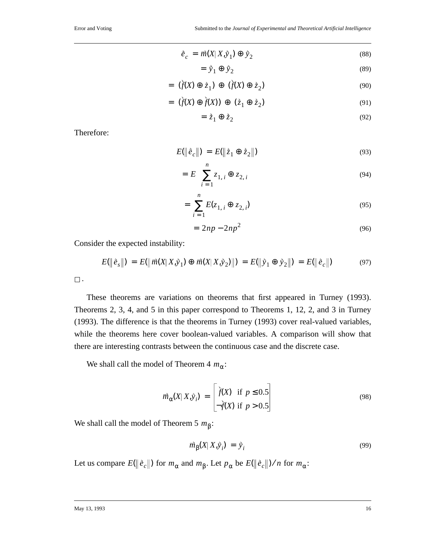$$
\dot{\vec{e}}_c = \vec{m}(X|X,\dot{y}_1) \oplus \dot{y}_2 \tag{88}
$$

$$
= \dot{y}_1 \oplus \dot{y}_2 \tag{89}
$$

$$
= (\dot{f}(X) \oplus \dot{z}_1) \oplus (\dot{f}(X) \oplus \dot{z}_2) \tag{90}
$$

$$
= (\dot{f}(X) \oplus \dot{f}(X)) \oplus (\dot{z}_1 \oplus \dot{z}_2) \tag{91}
$$

$$
= \dot{z}_1 \oplus \dot{z}_2 \tag{92}
$$

Therefore:

$$
E(\|\hat{e}_c\|) = E(\|\hat{z}_1 \oplus \hat{z}_2\|)
$$
\n(93)

$$
= E\left(\sum_{i=1}^{n} z_{1,i} \oplus z_{2,i}\right)
$$
\n(94)

$$
= \sum_{i=1}^{n} E(z_{1,i} \oplus z_{2,i}) \tag{95}
$$

$$
= 2np - 2np^2 \tag{96}
$$

Consider the expected instability:

$$
E(\|\hat{e}_s\|) = E(\|\vec{m}(X|X,\hat{y}_1) \oplus \vec{m}(X|X,\hat{y}_2)\|) = E(\|\hat{y}_1 \oplus \hat{y}_2\|) = E(\|\hat{e}_c\|)
$$
(97)

| $\sim$ |
|--------|

These theorems are variations on theorems that first appeared in Turney (1993). Theorems 2, 3, 4, and 5 in this paper correspond to Theorems 1, 12, 2, and 3 in Turney (1993). The difference is that the theorems in Turney (1993) cover real-valued variables, while the theorems here cover boolean-valued variables. A comparison will show that there are interesting contrasts between the continuous case and the discrete case.

We shall call the model of Theorem  $4 m_{\alpha}$ :

$$
\overrightarrow{m}_{\alpha}(X|X,\overrightarrow{y}_{i}) = \begin{bmatrix} \overrightarrow{f}(X) & \text{if } p \leq 0.5\\ -\overrightarrow{f}(X) & \text{if } p > 0.5 \end{bmatrix}
$$
\n(98)

We shall call the model of Theorem 5  $m_{\beta}$ :

$$
\vec{m}_{\beta}(X|X,\vec{y}_i) = \vec{y}_i \tag{99}
$$

Let us compare  $E(\|\tilde{e}_c\|)$  for  $m_\alpha$  and  $m_\beta$ . Let  $p_\alpha$  be  $E(\|\tilde{e}_c\|)/n$  for  $m_\alpha$ :

#### May 13, 1993 16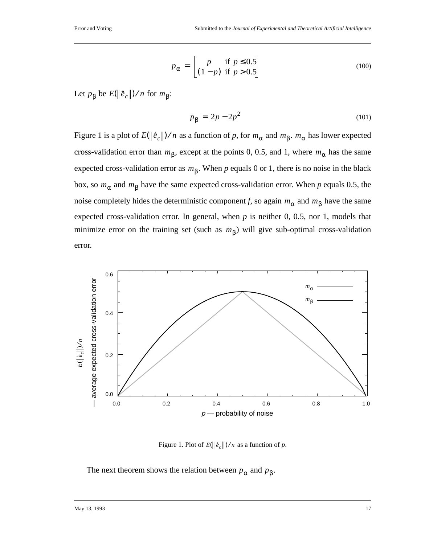$$
p_{\alpha} = \begin{bmatrix} p & \text{if } p \le 0.5\\ (1-p) & \text{if } p > 0.5 \end{bmatrix}
$$
 (100)

Let  $p_\beta$  be  $E(\|\tilde{e}_c\|)/n$  for  $m_\beta$ :

$$
p_{\beta} = 2p - 2p^2 \tag{101}
$$

Figure 1 is a plot of  $E(\|\tilde{e}_c\|)/n$  as a function of p, for  $m_\alpha$  and  $m_\beta$ .  $m_\alpha$  has lower expected cross-validation error than  $m_{\beta}$ , except at the points 0, 0.5, and 1, where  $m_{\alpha}$  has the same expected cross-validation error as  $m<sub>β</sub>$ . When *p* equals 0 or 1, there is no noise in the black box, so  $m_\alpha$  and  $m_\beta$  have the same expected cross-validation error. When *p* equals 0.5, the noise completely hides the deterministic component *f*, so again  $m_\alpha$  and  $m_\beta$  have the same expected cross-validation error. In general, when  $p$  is neither 0, 0.5, nor 1, models that minimize error on the training set (such as  $m<sub>β</sub>$ ) will give sub-optimal cross-validation error.



Figure 1. Plot of  $E(\|\tilde{e}_c\|)/n$  as a function of p.

The next theorem shows the relation between  $p_\alpha$  and  $p_\beta$ .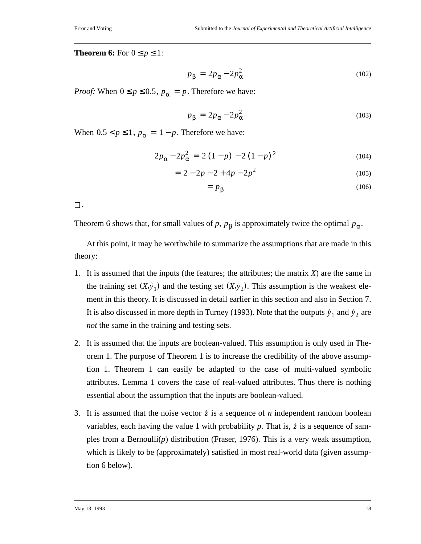**Theorem 6:** For  $0 \leq p \leq 1$ :

$$
p_{\beta} = 2p_{\alpha} - 2p_{\alpha}^2 \tag{102}
$$

*Proof:* When  $0 \le p \le 0.5$ ,  $p_{\alpha} = p$ . Therefore we have:

$$
p_{\beta} = 2p_{\alpha} - 2p_{\alpha}^2 \tag{103}
$$

When  $0.5 < p \le 1$ ,  $p_{\alpha} = 1 - p$ . Therefore we have:

$$
2p_{\alpha} - 2p_{\alpha}^{2} = 2(1-p) - 2(1-p)^{2}
$$
 (104)

$$
= 2 - 2p - 2 + 4p - 2p^2 \tag{105}
$$

$$
= p_{\beta} \tag{106}
$$

 $\Box$ .

Theorem 6 shows that, for small values of *p*,  $p_{\beta}$  is approximately twice the optimal  $p_{\alpha}$ .

At this point, it may be worthwhile to summarize the assumptions that are made in this theory:

- 1. It is assumed that the inputs (the features; the attributes; the matrix *X*) are the same in the training set  $(X, \hat{y}_1)$  and the testing set  $(X, \hat{y}_2)$ . This assumption is the weakest element in this theory. It is discussed in detail earlier in this section and also in Section 7. It is also discussed in more depth in Turney (1993). Note that the outputs  $\hat{y}_1$  and  $\hat{y}_2$  are *not* the same in the training and testing sets.
- 2. It is assumed that the inputs are boolean-valued. This assumption is only used in Theorem 1. The purpose of Theorem 1 is to increase the credibility of the above assumption 1. Theorem 1 can easily be adapted to the case of multi-valued symbolic attributes. Lemma 1 covers the case of real-valued attributes. Thus there is nothing essential about the assumption that the inputs are boolean-valued.
- 3. It is assumed that the noise vector  $\dot{z}$  is a sequence of *n* independent random boolean variables, each having the value 1 with probability p. That is,  $\dot{z}$  is a sequence of samples from a Bernoulli(*p*) distribution (Fraser, 1976). This is a very weak assumption, which is likely to be (approximately) satisfied in most real-world data (given assumption 6 below).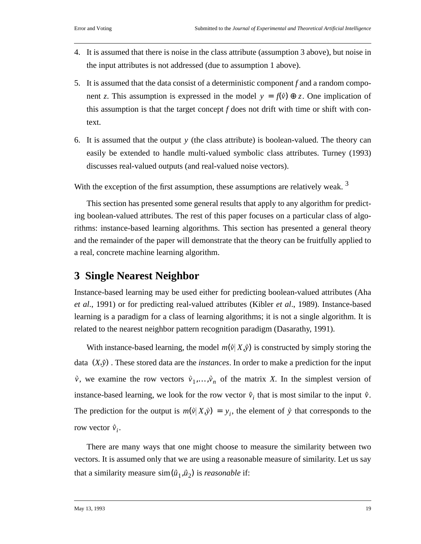- 4. It is assumed that there is noise in the class attribute (assumption 3 above), but noise in the input attributes is not addressed (due to assumption 1 above).
- 5. It is assumed that the data consist of a deterministic component *f* and a random component *z*. This assumption is expressed in the model  $y = f(\vec{v}) \oplus z$ . One implication of this assumption is that the target concept *f* does not drift with time or shift with context.
- 6. It is assumed that the output  $y$  (the class attribute) is boolean-valued. The theory can easily be extended to handle multi-valued symbolic class attributes. Turney (1993) discusses real-valued outputs (and real-valued noise vectors).

With the exception of the first assumption, these assumptions are relatively weak.<sup>3</sup>

This section has presented some general results that apply to any algorithm for predicting boolean-valued attributes. The rest of this paper focuses on a particular class of algorithms: instance-based learning algorithms. This section has presented a general theory and the remainder of the paper will demonstrate that the theory can be fruitfully applied to a real, concrete machine learning algorithm.

# **3 Single Nearest Neighbor**

Instance-based learning may be used either for predicting boolean-valued attributes (Aha *et al*., 1991) or for predicting real-valued attributes (Kibler *et al*., 1989). Instance-based learning is a paradigm for a class of learning algorithms; it is not a single algorithm. It is related to the nearest neighbor pattern recognition paradigm (Dasarathy, 1991).

With instance-based learning, the model  $m(\vec{v} | X, \vec{y})$  is constructed by simply storing the data  $(X, \hat{y})$ . These stored data are the *instances*. In order to make a prediction for the input  $\vec{v}$ , we examine the row vectors  $\vec{v}_1, \ldots, \vec{v}_n$  of the matrix *X*. In the simplest version of instance-based learning, we look for the row vector  $\vec{v}_i$  that is most similar to the input  $\vec{v}$ . The prediction for the output is  $m(\vec{v} | X, \vec{y}) = y_i$ , the element of  $\vec{y}$  that corresponds to the row vector  $\vec{v}_i$ .

There are many ways that one might choose to measure the similarity between two vectors. It is assumed only that we are using a reasonable measure of similarity. Let us say that a similarity measure  $\sin(\vec{u}_1, \vec{u}_2)$  is *reasonable* if: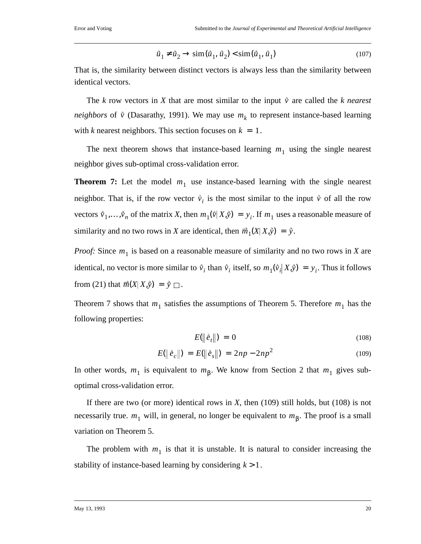$$
\vec{u}_1 \neq \vec{u}_2 \to \text{sim}(\vec{u}_1, \vec{u}_2) < \text{sim}(\vec{u}_1, \vec{u}_1) \tag{107}
$$

That is, the similarity between distinct vectors is always less than the similarity between identical vectors.

The *k* row vectors in *X* that are most similar to the input  $\dot{v}$  are called the *k* nearest *neighbors* of  $\hat{v}$  (Dasarathy, 1991). We may use  $m_k$  to represent instance-based learning with *k* nearest neighbors. This section focuses on  $k = 1$ .

The next theorem shows that instance-based learning  $m_1$  using the single nearest neighbor gives sub-optimal cross-validation error.

**Theorem 7:** Let the model  $m_1$  use instance-based learning with the single nearest neighbor. That is, if the row vector  $\vec{v}_i$  is the most similar to the input  $\vec{v}$  of all the row vectors  $\vec{v}_1, \ldots, \vec{v}_n$  of the matrix *X*, then  $m_1(\vec{v} | X, \vec{y}) = y_i$ . If  $m_1$  uses a reasonable measure of similarity and no two rows in *X* are identical, then  $\vec{m}_1(X|X,\hat{y}) = \hat{y}$ .

*Proof:* Since  $m_1$  is based on a reasonable measure of similarity and no two rows in *X* are identical, no vector is more similar to  $\vec{v}_i$  than  $\vec{v}_i$  itself, so  $m_1(\vec{v}_i|X,\hat{y}) = y_i$ . Thus it follows from (21) that  $\vec{m}(X|X,\hat{y}) = \hat{y}$   $\Box$ .

Theorem 7 shows that  $m_1$  satisfies the assumptions of Theorem 5. Therefore  $m_1$  has the following properties:

$$
E(\left\|\hat{e}_t\right\|) = 0 \tag{108}
$$

$$
E(\|\hat{e}_c\|) = E(\|\hat{e}_s\|) = 2np - 2np^2 \tag{109}
$$

In other words,  $m_1$  is equivalent to  $m_\beta$ . We know from Section 2 that  $m_1$  gives suboptimal cross-validation error.

If there are two (or more) identical rows in *X*, then (109) still holds, but (108) is not necessarily true. *m*<sub>1</sub> will, in general, no longer be equivalent to *m*<sub>β</sub>. The proof is a small variation on Theorem 5.

The problem with  $m_1$  is that it is unstable. It is natural to consider increasing the stability of instance-based learning by considering  $k > 1$ .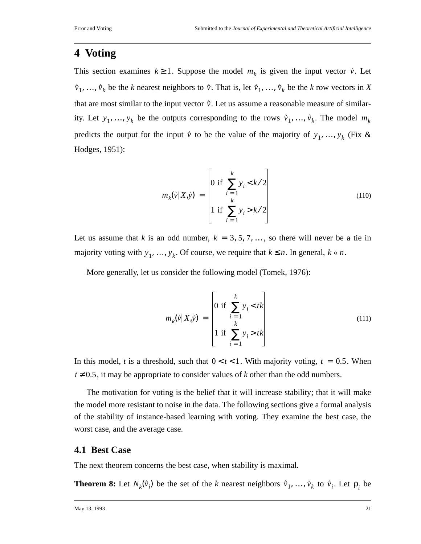### **4 Voting**

This section examines  $k \ge 1$ . Suppose the model  $m_k$  is given the input vector  $\vec{v}$ . Let  $\vec{v}_1, \ldots, \vec{v}_k$  be the *k* nearest neighbors to  $\vec{v}$ . That is, let  $\vec{v}_1, \ldots, \vec{v}_k$  be the *k* row vectors in *X* that are most similar to the input vector  $\vec{v}$ . Let us assume a reasonable measure of similarity. Let  $y_1, ..., y_k$  be the outputs corresponding to the rows  $\vec{v}_1, ..., \vec{v}_k$ . The model  $m_k$ predicts the output for the input  $\vec{v}$  to be the value of the majority of  $y_1, \ldots, y_k$  (Fix & Hodges, 1951):

$$
m_{k}(\vec{v}|X,\vec{y}) = \begin{bmatrix} 0 & \text{if } \sum_{i=1}^{k} y_{i} < k/2\\ 0 & \text{if } \sum_{i=1}^{k} y_{i} > k/2\\ 1 & \text{if } \sum_{i=1}^{k} y_{i} > k/2 \end{bmatrix} \tag{110}
$$

Let us assume that *k* is an odd number,  $k = 3, 5, 7, \dots$ , so there will never be a tie in majority voting with  $y_1, ..., y_k$ . Of course, we require that  $k \le n$ . In general,  $k \le n$ .

More generally, let us consider the following model (Tomek, 1976):

$$
m_k(\vec{v}|X,\vec{y}) = \begin{bmatrix} 0 & \text{if } \sum_{i=1}^k y_i < tk \\ 1 & \text{if } \sum_{i=1}^k y_i > tk \\ 1 & \text{if } \sum_{i=1}^k y_i > tk \end{bmatrix} \tag{111}
$$

In this model, *t* is a threshold, such that  $0 < t < 1$ . With majority voting,  $t = 0.5$ . When  $t \neq 0.5$ , it may be appropriate to consider values of *k* other than the odd numbers.

The motivation for voting is the belief that it will increase stability; that it will make the model more resistant to noise in the data. The following sections give a formal analysis of the stability of instance-based learning with voting. They examine the best case, the worst case, and the average case.

### **4.1 Best Case**

The next theorem concerns the best case, when stability is maximal.

**Theorem 8:** Let  $N_k(\vec{v}_i)$  be the set of the *k* nearest neighbors  $\vec{v}_1, \ldots, \vec{v}_k$  to  $\vec{v}_i$ . Let  $\rho_i$  be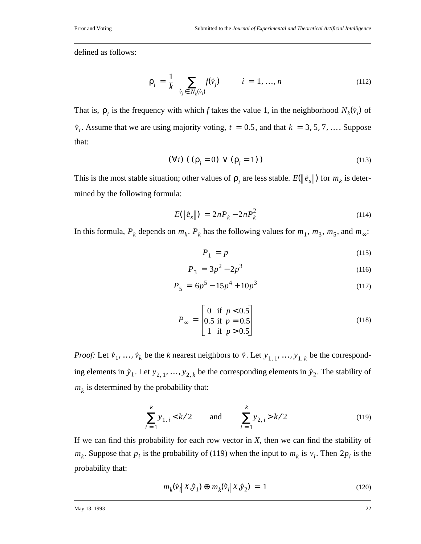defined as follows:

$$
\rho_i = \frac{1}{k} \left( \sum_{\hat{v}_j \in N_k(\hat{v}_i)} f(\hat{v}_j) \right) \qquad i = 1, ..., n \qquad (112)
$$

That is,  $\rho_i$  is the frequency with which *f* takes the value 1, in the neighborhood  $N_k(\vec{v}_i)$  of  $\hat{v}_i$ . Assume that we are using majority voting,  $t = 0.5$ , and that  $k = 3, 5, 7, \dots$ . Suppose that:

$$
(\forall i) \ ((\rho_i = 0) \lor (\rho_i = 1)) \tag{113}
$$

This is the most stable situation; other values of  $\rho_i$  are less stable.  $E(\|\tilde{e}_s\|)$  for  $m_k$  is determined by the following formula:

$$
E(||\hat{e}_s||) = 2nP_k - 2nP_k^2 \tag{114}
$$

In this formula,  $P_k$  depends on  $m_k$ .  $P_k$  has the following values for  $m_1$ ,  $m_3$ ,  $m_5$ , and  $m_{\infty}$ :

$$
P_1 = p \tag{115}
$$

$$
P_3 = 3p^2 - 2p^3 \tag{116}
$$

$$
P_5 = 6p^5 - 15p^4 + 10p^3 \tag{117}
$$

$$
P_{\infty} = \begin{bmatrix} 0 & \text{if } p < 0.5 \\ 0.5 & \text{if } p = 0.5 \\ 1 & \text{if } p > 0.5 \end{bmatrix}
$$
 (118)

*Proof:* Let  $\vec{v}_1, \ldots, \vec{v}_k$  be the *k* nearest neighbors to  $\vec{v}$ . Let  $y_{1,1}, \ldots, y_{1,k}$  be the corresponding elements in  $\tilde{y}_1$ . Let  $y_{2,1}, ..., y_{2,k}$  be the corresponding elements in  $\tilde{y}_2$ . The stability of  $m_k$  is determined by the probability that:

$$
\sum_{i=1}^{k} y_{1,i} < k/2 \qquad \text{and} \qquad \sum_{i=1}^{k} y_{2,i} > k/2 \tag{119}
$$

If we can find this probability for each row vector in *X*, then we can find the stability of  $m_k$ . Suppose that  $p_i$  is the probability of (119) when the input to  $m_k$  is  $v_i$ . Then  $2p_i$  is the probability that:

$$
m_k(\vec{v}_i | X, \vec{y}_1) \oplus m_k(\vec{v}_i | X, \vec{y}_2) = 1
$$
\n(120)

May 13, 1993 22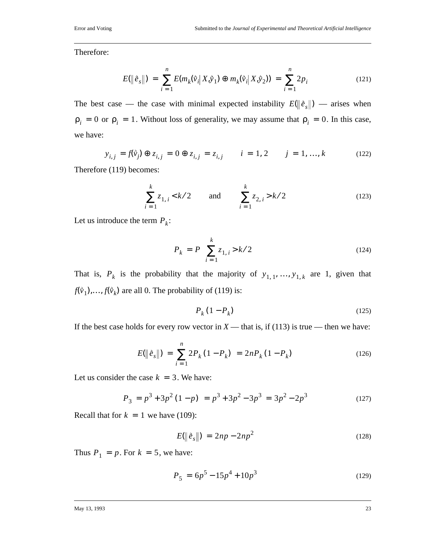Therefore:

$$
E(\|\tilde{e}_s\|) = \sum_{i=1}^n E(m_k(\tilde{v}_i|X,\tilde{y}_1) \oplus m_k(\tilde{v}_i|X,\tilde{y}_2)) = \sum_{i=1}^n 2p_i
$$
 (121)

The best case — the case with minimal expected instability  $E(\|\hat{e}_s\|)$  — arises when  $\rho_i = 0$  or  $\rho_i = 1$ . Without loss of generality, we may assume that  $\rho_i = 0$ . In this case, we have:

$$
y_{i,j} = f(\tilde{v}_j) \oplus z_{i,j} = 0 \oplus z_{i,j} = z_{i,j} \qquad i = 1, 2 \qquad j = 1, ..., k \tag{122}
$$

Therefore (119) becomes:

$$
\sum_{i=1}^{k} z_{1,i} < k/2 \qquad \text{and} \qquad \sum_{i=1}^{k} z_{2,i} > k/2 \tag{123}
$$

Let us introduce the term  $P_k$ :

$$
P_k = P\left(\sum_{i=1}^k z_{1,i} > k/2\right)
$$
 (124)

That is,  $P_k$  is the probability that the majority of  $y_{1,1},..., y_{1,k}$  are 1, given that  $f(\vec{v}_1),..., f(\vec{v}_k)$  are all 0. The probability of (119) is:

$$
P_k(1 - P_k) \tag{125}
$$

If the best case holds for every row vector in  $X$  — that is, if (113) is true — then we have:

$$
E(\|\tilde{e}_s\|) = \sum_{i=1}^{n} 2P_k (1 - P_k) = 2nP_k (1 - P_k)
$$
 (126)

Let us consider the case  $k = 3$ . We have:

$$
P_3 = p^3 + 3p^2(1-p) = p^3 + 3p^2 - 3p^3 = 3p^2 - 2p^3 \tag{127}
$$

Recall that for  $k = 1$  we have (109):

$$
E(\|\hat{e}_s\|) = 2np - 2np^2 \tag{128}
$$

Thus  $P_1 = p$ . For  $k = 5$ , we have:

$$
P_5 = 6p^5 - 15p^4 + 10p^3 \tag{129}
$$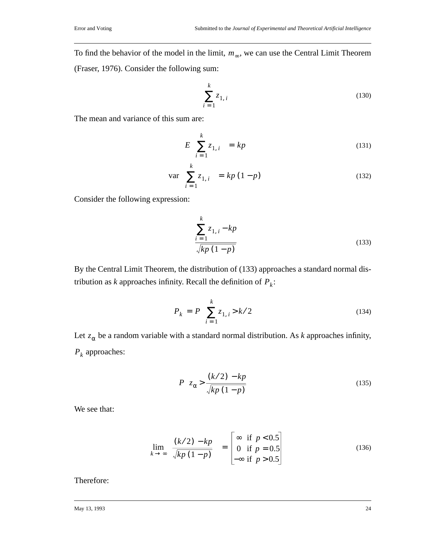To find the behavior of the model in the limit,  $m_{\infty}$ , we can use the Central Limit Theorem (Fraser, 1976). Consider the following sum:

$$
\sum_{i=1}^{k} z_{1,i} \tag{130}
$$

The mean and variance of this sum are:

$$
E\left(\sum_{i=1}^{k} z_{1,i}\right) = kp \tag{131}
$$

$$
\operatorname{var}\left(\sum_{i=1}^{k} z_{1,i}\right) = k p (1-p) \tag{132}
$$

Consider the following expression:

$$
\frac{\sum_{i=1}^{k} z_{1,i} - kp}{\sqrt{kp(1-p)}}
$$
\n(133)

By the Central Limit Theorem, the distribution of (133) approaches a standard normal distribution as *k* approaches infinity. Recall the definition of  $P_k$ :

$$
P_k = P\left(\sum_{i=1}^k z_{1,i} > k/2\right)
$$
 (134)

Let  $z_\alpha$  be a random variable with a standard normal distribution. As *k* approaches infinity,  $P_k$  approaches:

$$
P\left(z_{\alpha} > \frac{(k/2) - kp}{\sqrt{kp(1-p)}}\right)
$$
\n(135)

We see that:

$$
\lim_{k \to \infty} \left( \frac{(k/2) - kp}{\sqrt{kp(1-p)}} \right) = \begin{bmatrix} \infty & \text{if } p < 0.5 \\ 0 & \text{if } p = 0.5 \\ -\infty & \text{if } p > 0.5 \end{bmatrix}
$$
 (136)

Therefore: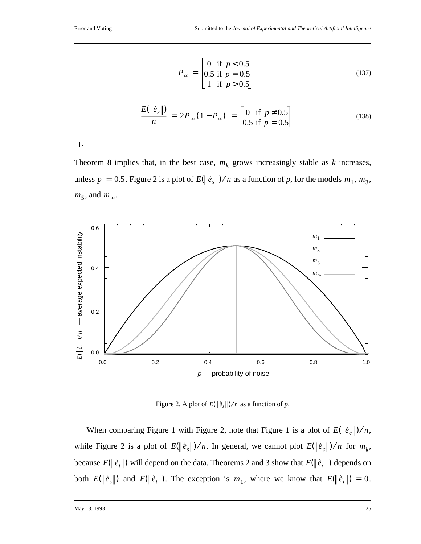$$
P_{\infty} = \begin{vmatrix} 0 & \text{if } p < 0.5 \\ 0.5 & \text{if } p = 0.5 \\ 1 & \text{if } p > 0.5 \end{vmatrix}
$$
 (137)

$$
\frac{E(\|\tilde{e}_s\|)}{n} = 2P_{\infty}(1 - P_{\infty}) = \begin{bmatrix} 0 & \text{if } p \neq 0.5\\ 0.5 & \text{if } p = 0.5 \end{bmatrix}
$$
(138)

 $\square$  .

Theorem 8 implies that, in the best case,  $m_k$  grows increasingly stable as  $k$  increases, unless  $p = 0.5$ . Figure 2 is a plot of  $E(\|\tilde{e}_s\|)/n$  as a function of p, for the models  $m_1, m_3$ ,  $m_5$ , and  $m_\infty$ .



Figure 2. A plot of  $E(\|\tilde{e}_s\|)/n$  as a function of p.

When comparing Figure 1 with Figure 2, note that Figure 1 is a plot of  $E(\|\tilde{e}_c\|)/n$ , while Figure 2 is a plot of  $E(\|\hat{e}_s\|)/n$ . In general, we cannot plot  $E(\|\hat{e}_c\|)/n$  for  $m_k$ , because  $E(\|\dot{e}_t\|)$  will depend on the data. Theorems 2 and 3 show that  $E(\|\dot{e}_c\|)$  depends on both  $E(\|\tilde{e}_s\|)$  and  $E(\|\tilde{e}_t\|)$ . The exception is  $m_1$ , where we know that  $E(\|\tilde{e}_t\|) = 0$ .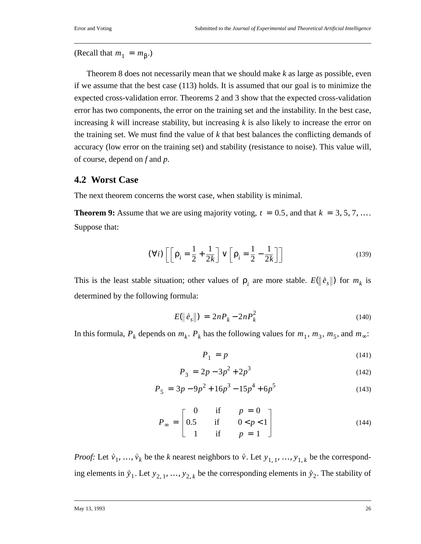(Recall that  $m_1 = m_\beta$ .)

Theorem 8 does not necessarily mean that we should make *k* as large as possible, even if we assume that the best case (113) holds. It is assumed that our goal is to minimize the expected cross-validation error. Theorems 2 and 3 show that the expected cross-validation error has two components, the error on the training set and the instability. In the best case, increasing *k* will increase stability, but increasing *k* is also likely to increase the error on the training set. We must find the value of *k* that best balances the conflicting demands of accuracy (low error on the training set) and stability (resistance to noise). This value will, of course, depend on *f* and *p*.

### **4.2 Worst Case**

The next theorem concerns the worst case, when stability is minimal.

**Theorem 9:** Assume that we are using majority voting,  $t = 0.5$ , and that  $k = 3, 5, 7, \ldots$ . Suppose that:

$$
(\forall i) \left[ \left[ \rho_i = \frac{1}{2} + \frac{1}{2k} \right] \vee \left[ \rho_i = \frac{1}{2} - \frac{1}{2k} \right] \right]
$$
 (139)

This is the least stable situation; other values of  $p_i$  are more stable.  $E(\|\hat{e}_s\|)$  for  $m_k$  is determined by the following formula:

$$
E(\|\hat{e}_s\|) = 2nP_k - 2nP_k^2 \tag{140}
$$

In this formula,  $P_k$  depends on  $m_k$ .  $P_k$  has the following values for  $m_1$ ,  $m_3$ ,  $m_5$ , and  $m_{\infty}$ :

$$
P_1 = p \tag{141}
$$

$$
P_3 = 2p - 3p^2 + 2p^3 \tag{142}
$$

$$
P_5 = 3p - 9p^2 + 16p^3 - 15p^4 + 6p^5 \tag{143}
$$

$$
P_{\infty} = \begin{bmatrix} 0 & \text{if} & p = 0 \\ 0.5 & \text{if} & 0 < p < 1 \\ 1 & \text{if} & p = 1 \end{bmatrix}
$$
 (144)

*Proof:* Let  $\vec{v}_1, \ldots, \vec{v}_k$  be the *k* nearest neighbors to  $\vec{v}$ . Let  $y_{1,1}, \ldots, y_{1,k}$  be the corresponding elements in  $\hat{y}_1$ . Let  $y_{2,1}, ..., y_{2,k}$  be the corresponding elements in  $\hat{y}_2$ . The stability of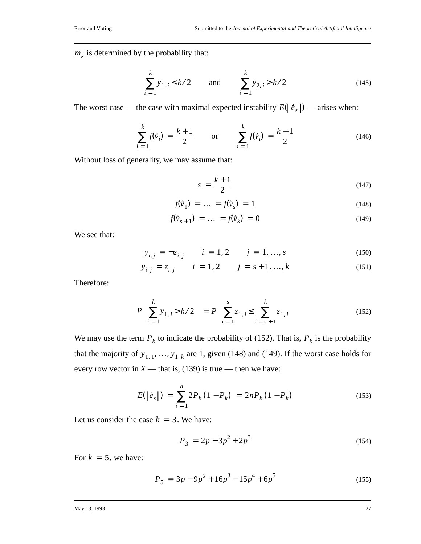$m_k$  is determined by the probability that:

$$
\sum_{i=1}^{k} y_{1,i} < k/2 \qquad \text{and} \qquad \sum_{i=1}^{k} y_{2,i} > k/2 \tag{145}
$$

The worst case — the case with maximal expected instability  $E(\|\hat{e}_s\|)$  — arises when:

$$
\sum_{i=1}^{k} f(\vec{v}_i) = \frac{k+1}{2} \quad \text{or} \quad \sum_{i=1}^{k} f(\vec{v}_i) = \frac{k-1}{2} \quad (146)
$$

Without loss of generality, we may assume that:

$$
s = \frac{k+1}{2} \tag{147}
$$

$$
f(\vec{v}_1) = \dots = f(\vec{v}_s) = 1 \tag{148}
$$

$$
f(\vec{v}_{s+1}) = \dots = f(\vec{v}_k) = 0 \tag{149}
$$

We see that:

$$
y_{i,j} = -z_{i,j} \qquad i = 1, 2 \qquad j = 1, ..., s \tag{150}
$$

$$
y_{i,j} = z_{i,j} \qquad i = 1,2 \qquad j = s+1, ..., k \tag{151}
$$

Therefore:

$$
P\left(\sum_{i=1}^{k} y_{1,i} > k/2\right) = P\left(\sum_{i=1}^{s} z_{1,i} \le \sum_{i=s+1}^{k} z_{1,i}\right)
$$
(152)

We may use the term  $P_k$  to indicate the probability of (152). That is,  $P_k$  is the probability that the majority of  $y_{1, 1}, \ldots, y_{1, k}$  are 1, given (148) and (149). If the worst case holds for every row vector in  $X$ — that is, (139) is true — then we have:

$$
E(\|\tilde{e}_s\|) = \sum_{i=1}^{n} 2P_k (1 - P_k) = 2nP_k (1 - P_k)
$$
 (153)

Let us consider the case  $k = 3$ . We have:

$$
P_3 = 2p - 3p^2 + 2p^3 \tag{154}
$$

For  $k = 5$ , we have:

$$
P_5 = 3p - 9p^2 + 16p^3 - 15p^4 + 6p^5 \tag{155}
$$

#### May 13, 1993 27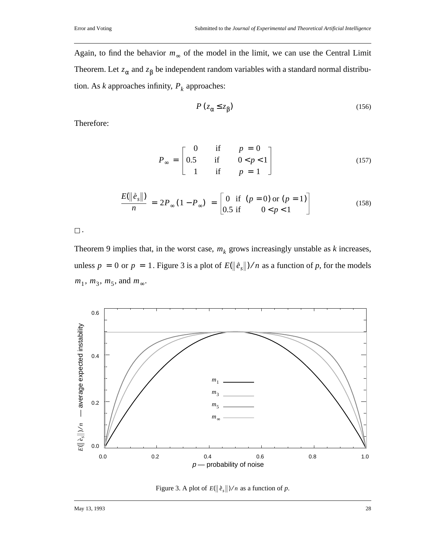Again, to find the behavior  $m_{\infty}$  of the model in the limit, we can use the Central Limit Theorem. Let  $z_\alpha$  and  $z_\beta$  be independent random variables with a standard normal distribution. As  $k$  approaches infinity,  $P_k$  approaches:

$$
P\left(z_{\alpha} \leq z_{\beta}\right) \tag{156}
$$

Therefore:

$$
P_{\infty} = \begin{bmatrix} 0 & \text{if} & p = 0 \\ 0.5 & \text{if} & 0 < p < 1 \\ 1 & \text{if} & p = 1 \end{bmatrix}
$$
 (157)

$$
\frac{E(\|\tilde{e}_s\|)}{n} = 2P_{\infty}(1 - P_{\infty}) = \begin{bmatrix} 0 & \text{if } (p = 0) \text{ or } (p = 1) \\ 0.5 & \text{if } 0 < p < 1 \end{bmatrix}
$$
(158)

 $\square$  .

Theorem 9 implies that, in the worst case,  $m_k$  grows increasingly unstable as  $k$  increases, unless  $p = 0$  or  $p = 1$ . Figure 3 is a plot of  $E(\|\tilde{e}_s\|)/n$  as a function of p, for the models  $m_1, m_3, m_5, \text{ and } m_\infty.$ 



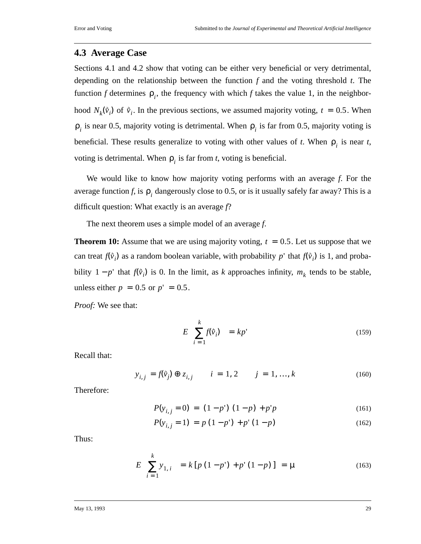### **4.3 Average Case**

Sections 4.1 and 4.2 show that voting can be either very beneficial or very detrimental, depending on the relationship between the function *f* and the voting threshold *t*. The function *f* determines  $\rho_i$ , the frequency with which *f* takes the value 1, in the neighborhood  $N_k(\vec{v}_i)$  of  $\vec{v}_i$ . In the previous sections, we assumed majority voting,  $t = 0.5$ . When  $\rho_i$  is near 0.5, majority voting is detrimental. When  $\rho_i$  is far from 0.5, majority voting is beneficial. These results generalize to voting with other values of *t*. When  $\rho_i$  is near *t*, voting is detrimental. When  $\rho_i$  is far from *t*, voting is beneficial.

We would like to know how majority voting performs with an average *f*. For the average function *f*, is  $\rho_i$  dangerously close to 0.5, or is it usually safely far away? This is a difficult question: What exactly is an average *f*?

The next theorem uses a simple model of an average *f*.

**Theorem 10:** Assume that we are using majority voting,  $t = 0.5$ . Let us suppose that we can treat  $f(\vec{v}_i)$  as a random boolean variable, with probability  $p'$  that  $f(\vec{v}_i)$  is 1, and probability  $1 - p'$  that  $f(\vec{v}_i)$  is 0. In the limit, as *k* approaches infinity,  $m_k$  tends to be stable, unless either  $p = 0.5$  or  $p' = 0.5$ .

*Proof:* We see that:

$$
E\left(\sum_{i=1}^{k} f(\vec{v}_i)\right) = kp'
$$
\n(159)

Recall that:

$$
y_{i,j} = f(\vec{v}_j) \oplus z_{i,j} \qquad i = 1, 2 \qquad j = 1, ..., k \tag{160}
$$

Therefore:

$$
P(y_{i,j} = 0) = (1 - p') (1 - p) + p'p
$$
 (161)

$$
P(y_{i,j} = 1) = p(1 - p') + p'(1 - p)
$$
\n(162)

Thus:

$$
E\left(\sum_{i=1}^{k} y_{1,i}\right) = k \left[p\left(1-p'\right) + p'\left(1-p\right)\right] = \mu \tag{163}
$$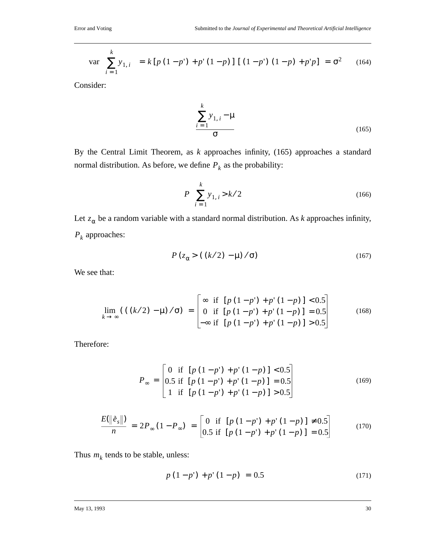$$
\text{var}\left(\sum_{i=1}^{k} y_{1,i}\right) = k \left[ p \left(1 - p^{\prime}\right) + p^{\prime} \left(1 - p\right) \right] \left[ \left(1 - p^{\prime}\right) \left(1 - p\right) + p^{\prime} p \right] = \sigma^{2} \qquad (164)
$$

Consider:

$$
\sum_{i=1}^{k} y_{1,i} - \mu
$$
\n
$$
\sigma
$$
\n(165)

By the Central Limit Theorem, as *k* approaches infinity, (165) approaches a standard normal distribution. As before, we define  $P_k$  as the probability:

$$
P\left(\sum_{i=1}^{k} y_{1,i} > k/2\right) \tag{166}
$$

Let  $z_\alpha$  be a random variable with a standard normal distribution. As *k* approaches infinity,  $P_k$  approaches:

$$
P(z_{\alpha} > ((k/2) - \mu) / \sigma) \tag{167}
$$

We see that:

$$
\lim_{k \to \infty} (( (k/2) - \mu) / \sigma) = \begin{bmatrix} \infty & \text{if } [p(1-p') + p'(1-p)] < 0.5 \\ 0 & \text{if } [p(1-p') + p'(1-p)] = 0.5 \\ -\infty & \text{if } [p(1-p') + p'(1-p)] > 0.5 \end{bmatrix}
$$
(168)

Therefore:

$$
P_{\infty} = \begin{bmatrix} 0 & \text{if } [p(1-p') + p'(1-p)] < 0.5 \\ 0.5 & \text{if } [p(1-p') + p'(1-p)] = 0.5 \\ 1 & \text{if } [p(1-p') + p'(1-p)] > 0.5 \end{bmatrix}
$$
(169)

$$
\frac{E(||\hat{e}_s||)}{n} = 2P_{\infty}(1 - P_{\infty}) = \begin{bmatrix} 0 & \text{if } [p(1-p') + p'(1-p)] \neq 0.5\\ 0.5 & \text{if } [p(1-p') + p'(1-p)] = 0.5 \end{bmatrix}
$$
(170)

Thus  $m_k$  tends to be stable, unless:

$$
p(1-p') + p'(1-p) = 0.5 \tag{171}
$$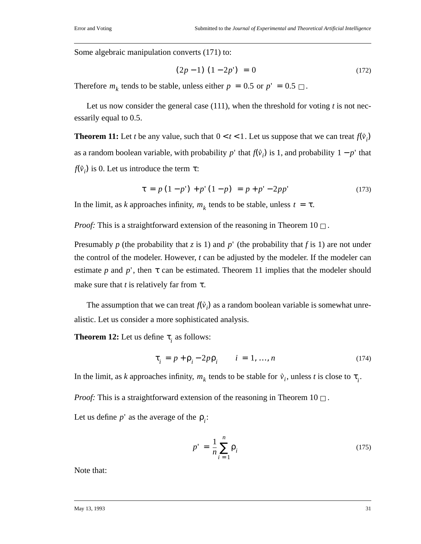Some algebraic manipulation converts (171) to:

$$
(2p-1)(1-2p') = 0 \tag{172}
$$

Therefore  $m_k$  tends to be stable, unless either  $p = 0.5$  or  $p' = 0.5 \square$ .

Let us now consider the general case (111), when the threshold for voting *t* is not necessarily equal to 0.5.

**Theorem 11:** Let *t* be any value, such that  $0 < t < 1$ . Let us suppose that we can treat  $f(\vec{v}_i)$ as a random boolean variable, with probability  $p'$  that  $f(\vec{v}_i)$  is 1, and probability  $1 - p'$  that  $f(\vec{v}_i)$  is 0. Let us introduce the term  $\tau$ :

$$
\tau = p(1-p') + p'(1-p) = p + p' - 2pp'
$$
\n(173)

In the limit, as *k* approaches infinity,  $m_k$  tends to be stable, unless  $t = \tau$ .

*Proof:* This is a straightforward extension of the reasoning in Theorem  $10 \Box$ .

Presumably p (the probability that *z* is 1) and p' (the probability that f is 1) are not under the control of the modeler. However, *t* can be adjusted by the modeler. If the modeler can estimate p and p', then  $\tau$  can be estimated. Theorem 11 implies that the modeler should make sure that  $t$  is relatively far from  $\tau$ .

The assumption that we can treat  $f(\vec{v}_i)$  as a random boolean variable is somewhat unrealistic. Let us consider a more sophisticated analysis.

**Theorem 12:** Let us define  $\tau_i$  as follows:

$$
\tau_i = p + \rho_i - 2p\rho_i \qquad i = 1, ..., n \tag{174}
$$

In the limit, as *k* approaches infinity,  $m_k$  tends to be stable for  $\vec{v}_i$ , unless *t* is close to  $\tau_i$ .

*Proof:* This is a straightforward extension of the reasoning in Theorem  $10 \Box$ .

Let us define  $p'$  as the average of the  $p_i$ :

$$
p' = \frac{1}{n} \sum_{i=1}^{n} \rho_i
$$
\n(175)

Note that: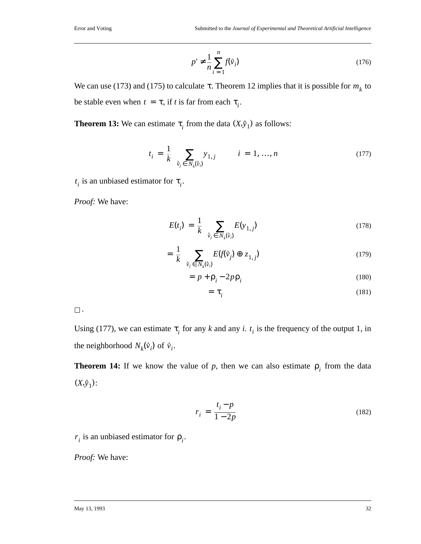$$
p' \neq \frac{1}{n} \sum_{i=1}^{n} f(\vec{v}_i)
$$
 (176)

We can use (173) and (175) to calculate  $\tau$ . Theorem 12 implies that it is possible for  $m_k$  to be stable even when  $t = \tau$ , if *t* is far from each  $\tau_i$ .

**Theorem 13:** We can estimate  $\tau_i$  from the data  $(X, \hat{y}_1)$  as follows:

$$
t_i = \frac{1}{k} \left( \sum_{\tilde{v}_j \in N_k(\tilde{v}_i)} y_{1,j} \right) \qquad i = 1, ..., n \tag{177}
$$

 $t_i$  is an unbiased estimator for  $\tau_i$ .

*Proof:* We have:

$$
E(t_i) = \frac{1}{k} \left( \sum_{\tilde{v}_j \in N_k(\tilde{v}_i)} E(y_{1,j}) \right)
$$
 (178)

$$
= \frac{1}{k} \left( \sum_{\hat{\mathbf{v}}_j \in N_k(\hat{\mathbf{v}}_j)} E(f(\hat{\mathbf{v}}_j) \oplus z_{1,j}) \right) \tag{179}
$$

$$
= p + \rho_i - 2p\rho_i \tag{180}
$$

$$
= \tau_i \tag{181}
$$

 $\Box$  .

Using (177), we can estimate  $\tau$ <sub>*i*</sub> for any *k* and any *i*.  $t$ <sup>*i*</sup> is the frequency of the output 1, in the neighborhood  $N_k(\vec{v}_i)$  of  $\vec{v}_i$ .

**Theorem 14:** If we know the value of  $p$ , then we can also estimate  $p_i$  from the data  $(X, \hat{y}_1)$ :

$$
r_i = \frac{t_i - p}{1 - 2p} \tag{182}
$$

 $r_i$  is an unbiased estimator for  $\rho_i$ .

*Proof:* We have: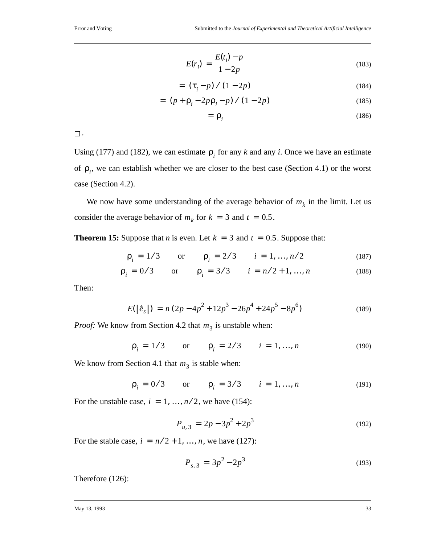$$
E(r_i) = \frac{E(t_i) - p}{1 - 2p}
$$
 (183)

$$
= \left(\tau_i - p\right) / \left(1 - 2p\right) \tag{184}
$$

$$
= (p + \rho_i - 2p\rho_i - p) / (1 - 2p)
$$
 (185)

$$
= \rho_i \tag{186}
$$

 $\Box$ 

Using (177) and (182), we can estimate  $\rho_i$  for any *k* and any *i*. Once we have an estimate of  $\rho_i$ , we can establish whether we are closer to the best case (Section 4.1) or the worst case (Section 4.2).

We now have some understanding of the average behavior of  $m_k$  in the limit. Let us consider the average behavior of  $m_k$  for  $k = 3$  and  $t = 0.5$ .

**Theorem 15:** Suppose that *n* is even. Let  $k = 3$  and  $t = 0.5$ . Suppose that:

$$
\rho_i = 1/3
$$
 or  $\rho_i = 2/3$   $i = 1, ..., n/2$  (187)

$$
\rho_i = 0/3
$$
 or  $\rho_i = 3/3$   $i = n/2 + 1, ..., n$  (188)

Then:

$$
E(\|\tilde{e}_s\|) = n(2p - 4p^2 + 12p^3 - 26p^4 + 24p^5 - 8p^6)
$$
\n(189)

*Proof:* We know from Section 4.2 that  $m_3$  is unstable when:

$$
\rho_i = 1/3
$$
 or  $\rho_i = 2/3$   $i = 1, ..., n$  (190)

We know from Section 4.1 that  $m<sub>3</sub>$  is stable when:

$$
\rho_i = 0/3
$$
 or  $\rho_i = 3/3$   $i = 1, ..., n$  (191)

For the unstable case,  $i = 1, ..., n/2$ , we have (154):

$$
P_{u,3} = 2p - 3p^2 + 2p^3 \tag{192}
$$

For the stable case,  $i = n/2 + 1, ..., n$ , we have (127):

$$
P_{s,3} = 3p^2 - 2p^3 \tag{193}
$$

Therefore (126):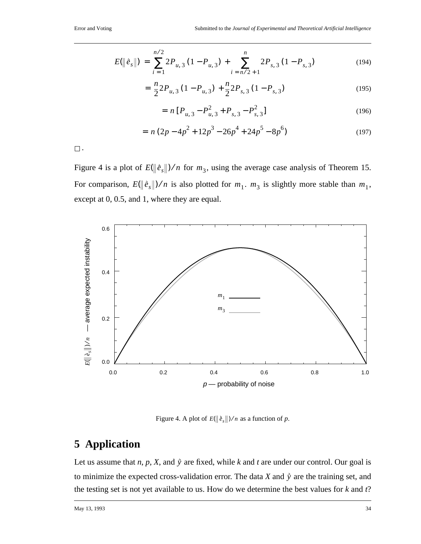$$
E(\left\|\tilde{e}_s\right\|) = \sum_{i=1}^{n/2} 2P_{u,3} (1 - P_{u,3}) + \sum_{i=n/2+1}^{n} 2P_{s,3} (1 - P_{s,3})
$$
(194)

$$
= \frac{n}{2} 2P_{u,3} (1 - P_{u,3}) + \frac{n}{2} 2P_{s,3} (1 - P_{s,3})
$$
\n(195)

$$
= n [P_{u,3} - P_{u,3}^2 + P_{s,3} - P_{s,3}^2]
$$
\n(196)

$$
= n (2p - 4p2 + 12p3 - 26p4 + 24p5 - 8p6)
$$
\n(197)

 $\square$  .

Figure 4 is a plot of  $E(\Vert \hat{e}_s \Vert)$ /*n* for  $m_3$ , using the average case analysis of Theorem 15. For comparison,  $E(\|\tilde{e}_s\|)/n$  is also plotted for  $m_1$ .  $m_3$  is slightly more stable than  $m_1$ , except at 0, 0.5, and 1, where they are equal.



Figure 4. A plot of  $E(\|\tilde{e}_s\|)/n$  as a function of p.

# **5 Application**

Let us assume that *n*, *p*, *X*, and  $\hat{y}$  are fixed, while *k* and *t* are under our control. Our goal is to minimize the expected cross-validation error. The data  $X$  and  $\hat{y}$  are the training set, and the testing set is not yet available to us. How do we determine the best values for *k* and *t*?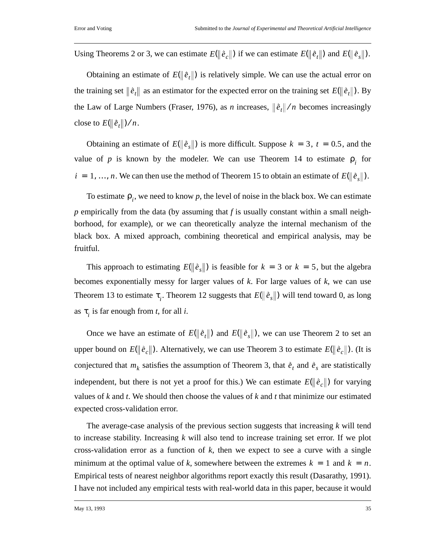Using Theorems 2 or 3, we can estimate  $E(||\hat{e}_c||)$  if we can estimate  $E(||\hat{e}_t||)$  and  $E(||\hat{e}_s||)$ .

Obtaining an estimate of  $E(\|\hat{e}_t\|)$  is relatively simple. We can use the actual error on the training set  $\|\hat{e}_t\|$  as an estimator for the expected error on the training set  $E(\|\hat{e}_t\|)$ . By the Law of Large Numbers (Fraser, 1976), as *n* increases,  $\|\hat{e}_t\|/n$  becomes increasingly close to  $E(\|\tilde{e}_t\|)/n$ .

Obtaining an estimate of  $E(\|\hat{e}_s\|)$  is more difficult. Suppose  $k = 3$ ,  $t = 0.5$ , and the value of *p* is known by the modeler. We can use Theorem 14 to estimate  $\rho_i$  for  $i = 1, ..., n$ . We can then use the method of Theorem 15 to obtain an estimate of  $E(\|\tilde{e}_s\|)$ .

To estimate  $\rho_i$ , we need to know *p*, the level of noise in the black box. We can estimate *p* empirically from the data (by assuming that *f* is usually constant within a small neighborhood, for example), or we can theoretically analyze the internal mechanism of the black box. A mixed approach, combining theoretical and empirical analysis, may be fruitful.

This approach to estimating  $E(\|\hat{e}_s\|)$  is feasible for  $k = 3$  or  $k = 5$ , but the algebra becomes exponentially messy for larger values of *k*. For large values of *k*, we can use Theorem 13 to estimate  $\tau_i$ . Theorem 12 suggests that  $E(\|\tilde{e}_s\|)$  will tend toward 0, as long as  $\tau$ <sub>*i*</sub> is far enough from *t*, for all *i*.

Once we have an estimate of  $E(\|\hat{e}_t\|)$  and  $E(\|\hat{e}_s\|)$ , we can use Theorem 2 to set an upper bound on  $E(\|\tilde{e}_c\|)$ . Alternatively, we can use Theorem 3 to estimate  $E(\|\tilde{e}_c\|)$ . (It is conjectured that  $m_k$  satisfies the assumption of Theorem 3, that  $\hat{e}_t$  and  $\hat{e}_s$  are statistically independent, but there is not yet a proof for this.) We can estimate  $E(\|\hat{e}_c\|)$  for varying values of *k* and *t*. We should then choose the values of *k* and *t* that minimize our estimated expected cross-validation error.

The average-case analysis of the previous section suggests that increasing *k* will tend to increase stability. Increasing *k* will also tend to increase training set error. If we plot cross-validation error as a function of *k*, then we expect to see a curve with a single minimum at the optimal value of k, somewhere between the extremes  $k = 1$  and  $k = n$ . Empirical tests of nearest neighbor algorithms report exactly this result (Dasarathy, 1991). I have not included any empirical tests with real-world data in this paper, because it would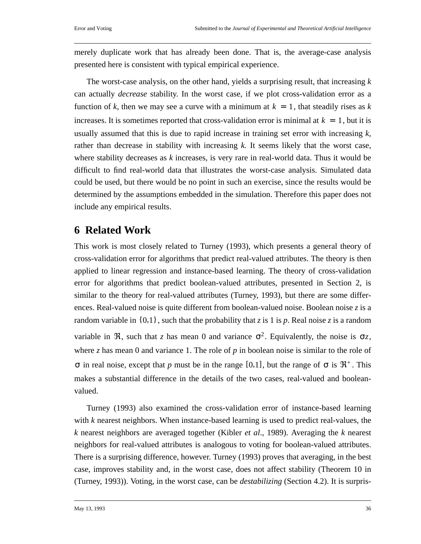merely duplicate work that has already been done. That is, the average-case analysis presented here is consistent with typical empirical experience.

The worst-case analysis, on the other hand, yields a surprising result, that increasing *k* can actually *decrease* stability. In the worst case, if we plot cross-validation error as a function of k, then we may see a curve with a minimum at  $k = 1$ , that steadily rises as k increases. It is sometimes reported that cross-validation error is minimal at  $k = 1$ , but it is usually assumed that this is due to rapid increase in training set error with increasing *k,* rather than decrease in stability with increasing *k.* It seems likely that the worst case, where stability decreases as *k* increases, is very rare in real-world data. Thus it would be difficult to find real-world data that illustrates the worst-case analysis. Simulated data could be used, but there would be no point in such an exercise, since the results would be determined by the assumptions embedded in the simulation. Therefore this paper does not include any empirical results.

# **6 Related Work**

This work is most closely related to Turney (1993), which presents a general theory of cross-validation error for algorithms that predict real-valued attributes. The theory is then applied to linear regression and instance-based learning. The theory of cross-validation error for algorithms that predict boolean-valued attributes, presented in Section 2, is similar to the theory for real-valued attributes (Turney, 1993), but there are some differences. Real-valued noise is quite different from boolean-valued noise. Boolean noise *z* is a random variable in  $\{0,1\}$ , such that the probability that *z* is 1 is *p*. Real noise *z* is a random variable in  $\Re$ , such that *z* has mean 0 and variance  $\sigma^2$ . Equivalently, the noise is  $\sigma z$ , where *z* has mean 0 and variance 1. The role of *p* in boolean noise is similar to the role of σ in real noise, except that *p* must be in the range [0,1], but the range of σ is  $\mathfrak{R}^+$ . This makes a substantial difference in the details of the two cases, real-valued and booleanvalued.

Turney (1993) also examined the cross-validation error of instance-based learning with *k* nearest neighbors. When instance-based learning is used to predict real-values, the *k* nearest neighbors are averaged together (Kibler *et al*., 1989). Averaging the *k* nearest neighbors for real-valued attributes is analogous to voting for boolean-valued attributes. There is a surprising difference, however. Turney (1993) proves that averaging, in the best case, improves stability and, in the worst case, does not affect stability (Theorem 10 in (Turney, 1993)). Voting, in the worst case, can be *destabilizing* (Section 4.2). It is surpris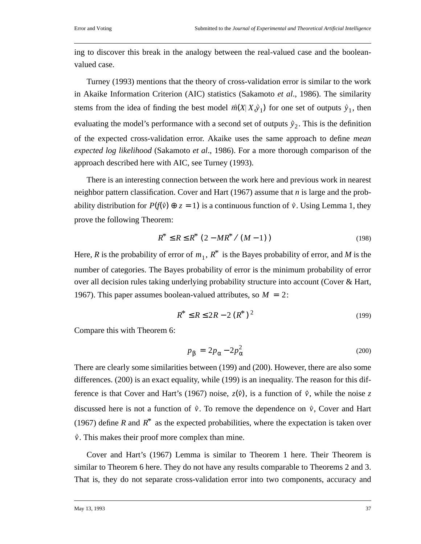ing to discover this break in the analogy between the real-valued case and the booleanvalued case.

Turney (1993) mentions that the theory of cross-validation error is similar to the work in Akaike Information Criterion (AIC) statistics (Sakamoto *et al*., 1986). The similarity stems from the idea of finding the best model  $\vec{m}(X|X,\hat{y}_1)$  for one set of outputs  $\hat{y}_1$ , then evaluating the model's performance with a second set of outputs  $\dot{y}_2$ . This is the definition of the expected cross-validation error. Akaike uses the same approach to define *mean expected log likelihood* (Sakamoto *et al*., 1986). For a more thorough comparison of the approach described here with AIC, see Turney (1993).

There is an interesting connection between the work here and previous work in nearest neighbor pattern classification. Cover and Hart (1967) assume that *n* is large and the probability distribution for  $P(f(\vec{v}) \oplus z = 1)$  is a continuous function of  $\vec{v}$ . Using Lemma 1, they prove the following Theorem:

$$
R^* \le R \le R^* (2 - MR^* / (M - 1))
$$
\n(198)

Here, *R* is the probability of error of  $m_1$ ,  $R^*$  is the Bayes probability of error, and *M* is the number of categories. The Bayes probability of error is the minimum probability of error over all decision rules taking underlying probability structure into account (Cover & Hart, 1967). This paper assumes boolean-valued attributes, so  $M = 2$ :

$$
R^* \le R \le 2R - 2(R^*)^2 \tag{199}
$$

Compare this with Theorem 6:

$$
p_{\beta} = 2p_{\alpha} - 2p_{\alpha}^2 \tag{200}
$$

There are clearly some similarities between (199) and (200). However, there are also some differences. (200) is an exact equality, while (199) is an inequality. The reason for this difference is that Cover and Hart's (1967) noise,  $z(\vec{v})$ , is a function of  $\vec{v}$ , while the noise z discussed here is not a function of  $\vec{v}$ . To remove the dependence on  $\vec{v}$ , Cover and Hart (1967) define *R* and  $R^*$  as the expected probabilities, where the expectation is taken over  $\dot{v}$ . This makes their proof more complex than mine.

Cover and Hart's (1967) Lemma is similar to Theorem 1 here. Their Theorem is similar to Theorem 6 here. They do not have any results comparable to Theorems 2 and 3. That is, they do not separate cross-validation error into two components, accuracy and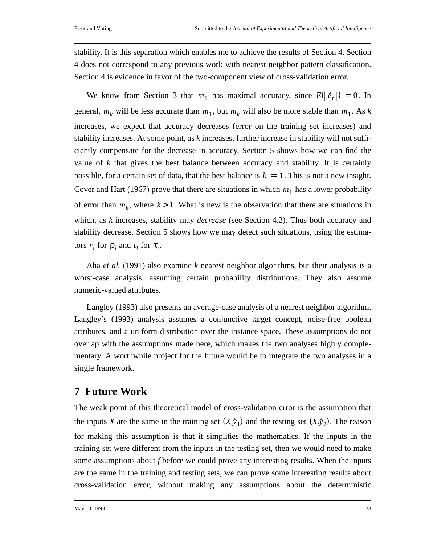stability. It is this separation which enables me to achieve the results of Section 4. Section 4 does not correspond to any previous work with nearest neighbor pattern classification. Section 4 is evidence in favor of the two-component view of cross-validation error.

We know from Section 3 that  $m_1$  has maximal accuracy, since  $E(\|\hat{e}_t\|) = 0$ . In general,  $m_k$  will be less accurate than  $m_1$ , but  $m_k$  will also be more stable than  $m_1$ . As k increases, we expect that accuracy decreases (error on the training set increases) and stability increases. At some point, as *k* increases, further increase in stability will not sufficiently compensate for the decrease in accuracy. Section 5 shows how we can find the value of *k* that gives the best balance between accuracy and stability. It is certainly possible, for a certain set of data, that the best balance is  $k = 1$ . This is not a new insight. Cover and Hart (1967) prove that there are situations in which  $m_1$  has a lower probability of error than  $m_k$ , where  $k > 1$ . What is new is the observation that there are situations in which, as *k* increases, stability may *decrease* (see Section 4.2). Thus both accuracy and stability decrease. Section 5 shows how we may detect such situations, using the estimators  $r_i$  for  $\rho_i$  and  $t_i$  for  $\tau_i$ .

Aha *et al.* (1991) also examine *k* nearest neighbor algorithms, but their analysis is a worst-case analysis, assuming certain probability distributions. They also assume numeric-valued attributes.

Langley (1993) also presents an average-case analysis of a nearest neighbor algorithm. Langley's (1993) analysis assumes a conjunctive target concept, noise-free boolean attributes, and a uniform distribution over the instance space. These assumptions do not overlap with the assumptions made here, which makes the two analyses highly complementary. A worthwhile project for the future would be to integrate the two analyses in a single framework.

# **7 Future Work**

The weak point of this theoretical model of cross-validation error is the assumption that the inputs *X* are the same in the training set  $(X, \hat{y}_1)$  and the testing set  $(X, \hat{y}_2)$ . The reason for making this assumption is that it simplifies the mathematics. If the inputs in the training set were different from the inputs in the testing set, then we would need to make some assumptions about *f* before we could prove any interesting results. When the inputs are the same in the training and testing sets, we can prove some interesting results about cross-validation error, without making any assumptions about the deterministic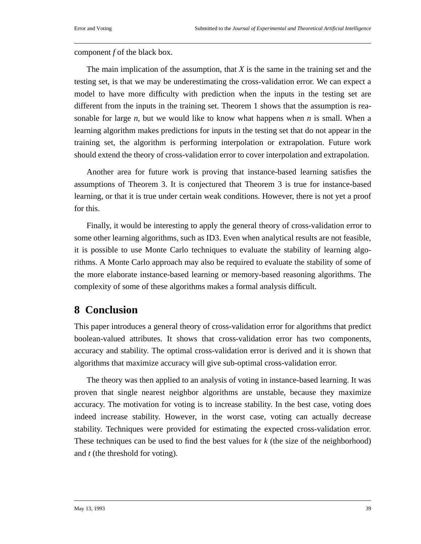component *f* of the black box.

The main implication of the assumption, that *X* is the same in the training set and the testing set, is that we may be underestimating the cross-validation error. We can expect a model to have more difficulty with prediction when the inputs in the testing set are different from the inputs in the training set. Theorem 1 shows that the assumption is reasonable for large *n*, but we would like to know what happens when *n* is small. When a learning algorithm makes predictions for inputs in the testing set that do not appear in the training set, the algorithm is performing interpolation or extrapolation. Future work should extend the theory of cross-validation error to cover interpolation and extrapolation.

Another area for future work is proving that instance-based learning satisfies the assumptions of Theorem 3. It is conjectured that Theorem 3 is true for instance-based learning, or that it is true under certain weak conditions. However, there is not yet a proof for this.

Finally, it would be interesting to apply the general theory of cross-validation error to some other learning algorithms, such as ID3. Even when analytical results are not feasible, it is possible to use Monte Carlo techniques to evaluate the stability of learning algorithms. A Monte Carlo approach may also be required to evaluate the stability of some of the more elaborate instance-based learning or memory-based reasoning algorithms. The complexity of some of these algorithms makes a formal analysis difficult.

# **8 Conclusion**

This paper introduces a general theory of cross-validation error for algorithms that predict boolean-valued attributes. It shows that cross-validation error has two components, accuracy and stability. The optimal cross-validation error is derived and it is shown that algorithms that maximize accuracy will give sub-optimal cross-validation error.

The theory was then applied to an analysis of voting in instance-based learning. It was proven that single nearest neighbor algorithms are unstable, because they maximize accuracy. The motivation for voting is to increase stability. In the best case, voting does indeed increase stability. However, in the worst case, voting can actually decrease stability. Techniques were provided for estimating the expected cross-validation error. These techniques can be used to find the best values for *k* (the size of the neighborhood) and *t* (the threshold for voting).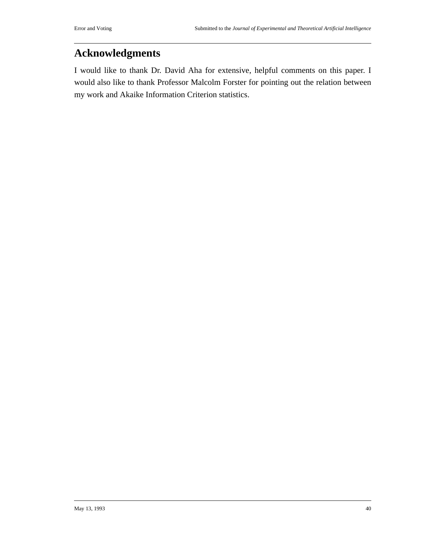# **Acknowledgments**

I would like to thank Dr. David Aha for extensive, helpful comments on this paper. I would also like to thank Professor Malcolm Forster for pointing out the relation between my work and Akaike Information Criterion statistics.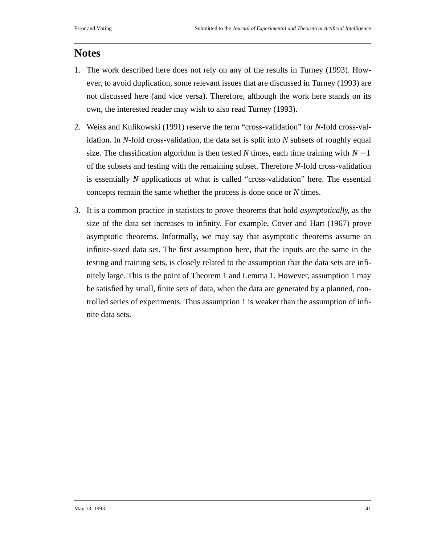### **Notes**

- 1. The work described here does not rely on any of the results in Turney (1993). However, to avoid duplication, some relevant issues that are discussed in Turney (1993) are not discussed here (and vice versa). Therefore, although the work here stands on its own, the interested reader may wish to also read Turney (1993).
- 2. Weiss and Kulikowski (1991) reserve the term "cross-validation" for *N*-fold cross-validation. In *N*-fold cross-validation, the data set is split into *N* subsets of roughly equal size. The classification algorithm is then tested  $N$  times, each time training with  $N-1$ of the subsets and testing with the remaining subset. Therefore *N*-fold cross-validation is essentially *N* applications of what is called "cross-validation" here. The essential concepts remain the same whether the process is done once or *N* times.
- 3. It is a common practice in statistics to prove theorems that hold *asymptotically*, as the size of the data set increases to infinity. For example, Cover and Hart (1967) prove asymptotic theorems. Informally, we may say that asymptotic theorems assume an infinite-sized data set. The first assumption here, that the inputs are the same in the testing and training sets, is closely related to the assumption that the data sets are infinitely large. This is the point of Theorem 1 and Lemma 1. However, assumption 1 may be satisfied by small, finite sets of data, when the data are generated by a planned, controlled series of experiments. Thus assumption 1 is weaker than the assumption of infinite data sets.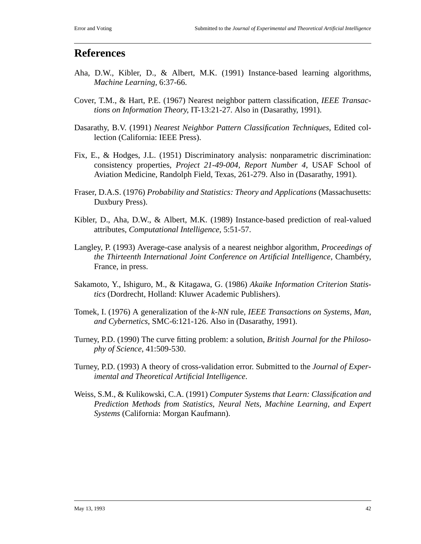## **References**

- Aha, D.W., Kibler, D., & Albert, M.K. (1991) Instance-based learning algorithms, *Machine Learning*, 6:37-66.
- Cover, T.M., & Hart, P.E. (1967) Nearest neighbor pattern classification, *IEEE Transactions on Information Theory*, IT-13:21-27. Also in (Dasarathy, 1991).
- Dasarathy, B.V. (1991) *Nearest Neighbor Pattern Classification Techniques*, Edited collection (California: IEEE Press).
- Fix, E., & Hodges, J.L. (1951) Discriminatory analysis: nonparametric discrimination: consistency properties, *Project 21-49-004, Report Number 4*, USAF School of Aviation Medicine, Randolph Field, Texas, 261-279. Also in (Dasarathy, 1991).
- Fraser, D.A.S. (1976) *Probability and Statistics: Theory and Applications* (Massachusetts: Duxbury Press).
- Kibler, D., Aha, D.W., & Albert, M.K. (1989) Instance-based prediction of real-valued attributes, *Computational Intelligence*, 5:51-57.
- Langley, P. (1993) Average-case analysis of a nearest neighbor algorithm, *Proceedings of the Thirteenth International Joint Conference on Artificial Intelligence*, Chambéry, France, in press.
- Sakamoto, Y., Ishiguro, M., & Kitagawa, G. (1986) *Akaike Information Criterion Statistics* (Dordrecht, Holland: Kluwer Academic Publishers).
- Tomek, I. (1976) A generalization of the *k-NN* rule, *IEEE Transactions on Systems, Man, and Cybernetics*, SMC-6:121-126. Also in (Dasarathy, 1991).
- Turney, P.D. (1990) The curve fitting problem: a solution, *British Journal for the Philosophy of Science*, 41:509-530.
- Turney, P.D. (1993) A theory of cross-validation error. Submitted to the *Journal of Experimental and Theoretical Artificial Intelligence*.
- Weiss, S.M., & Kulikowski, C.A. (1991) *Computer Systems that Learn: Classification and Prediction Methods from Statistics, Neural Nets, Machine Learning, and Expert Systems* (California: Morgan Kaufmann).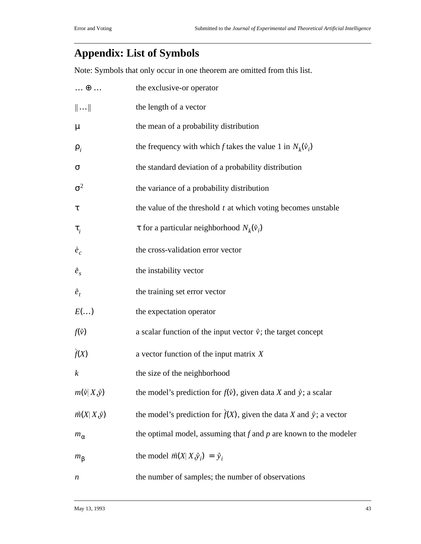# **Appendix: List of Symbols**

Note: Symbols that only occur in one theorem are omitted from this list.

| $\ldots \oplus \ldots$    | the exclusive-or operator                                                       |
|---------------------------|---------------------------------------------------------------------------------|
| $\ \ldots\ $              | the length of a vector                                                          |
| $\mu$                     | the mean of a probability distribution                                          |
| $\rho_i$                  | the frequency with which f takes the value 1 in $N_k(\vec{v}_i)$                |
| σ                         | the standard deviation of a probability distribution                            |
| $\sigma^2$                | the variance of a probability distribution                                      |
| τ                         | the value of the threshold $t$ at which voting becomes unstable                 |
| $\tau_i$                  | $\tau$ for a particular neighborhood $N_k(\vec{v}_i)$                           |
| $\vec{e}_c$               | the cross-validation error vector                                               |
| $\vec{e}_s$               | the instability vector                                                          |
| $\vec{e}_t$               | the training set error vector                                                   |
| $E(\ldots)$               | the expectation operator                                                        |
| $f(\vec{v})$              | a scalar function of the input vector $\vec{v}$ ; the target concept            |
| f(X)                      | a vector function of the input matrix $X$                                       |
| $\boldsymbol{k}$          | the size of the neighborhood                                                    |
| $m(\vec{v}   X, \vec{y})$ | the model's prediction for $f(\vec{v})$ , given data X and $\vec{y}$ ; a scalar |
| $\vec{m}(X X,\vec{y})$    | the model's prediction for $f(X)$ , given the data X and $\dot{y}$ ; a vector   |
| $m_{\alpha}$              | the optimal model, assuming that $f$ and $p$ are known to the modeler           |
| $m_{\beta}$               | the model $\vec{m}(X X,\hat{y}_i) = \hat{y}_i$                                  |
| n                         | the number of samples; the number of observations                               |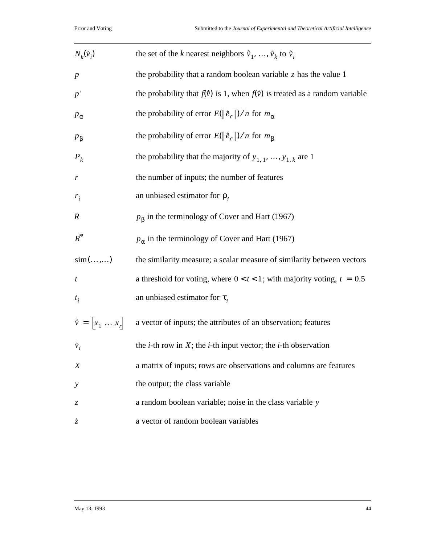| $N_k(\vec{v}_i)$            | the set of the <i>k</i> nearest neighbors $\vec{v}_1, , \vec{v}_k$ to $\vec{v}_i$         |
|-----------------------------|-------------------------------------------------------------------------------------------|
| $\boldsymbol{p}$            | the probability that a random boolean variable $\zeta$ has the value 1                    |
| p'                          | the probability that $f(\vec{v})$ is 1, when $f(\vec{v})$ is treated as a random variable |
| $p_{\alpha}$                | the probability of error $E(\ \tilde{e}_c\ )/n$ for $m_\alpha$                            |
| $p_{\beta}$                 | the probability of error $E(\ \tilde{e}_c\ )/n$ for $m_\beta$                             |
| $P_k$                       | the probability that the majority of $y_{1, 1}, , y_{1, k}$ are 1                         |
| $\boldsymbol{r}$            | the number of inputs; the number of features                                              |
| $r_i$                       | an unbiased estimator for $\rho_i$                                                        |
| $\boldsymbol{R}$            | $p_{\beta}$ in the terminology of Cover and Hart (1967)                                   |
| $R^*$                       | $p_{\alpha}$ in the terminology of Cover and Hart (1967)                                  |
| sim(,)                      | the similarity measure; a scalar measure of similarity between vectors                    |
| $\boldsymbol{t}$            | a threshold for voting, where $0 < t < 1$ ; with majority voting, $t = 0.5$               |
| $t_i$                       | an unbiased estimator for $\tau_i$                                                        |
| $\vec{v} = [x_1 \dots x_r]$ | a vector of inputs; the attributes of an observation; features                            |
| $\vec{v}_i$                 | the <i>i</i> -th row in $X$ ; the <i>i</i> -th input vector; the <i>i</i> -th observation |
| X                           | a matrix of inputs; rows are observations and columns are features                        |
| $\mathcal{Y}$               | the output; the class variable                                                            |
| Z,                          | a random boolean variable; noise in the class variable y                                  |
| $\dot{\vec{z}}$             | a vector of random boolean variables                                                      |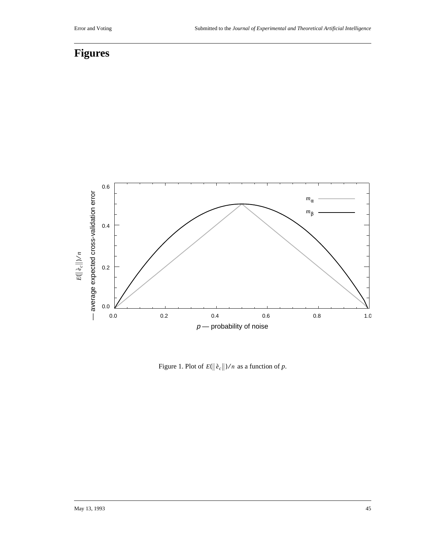# **Figures**



Figure 1. Plot of  $E(\|\tilde{e}_c\|)/n$  as a function of p.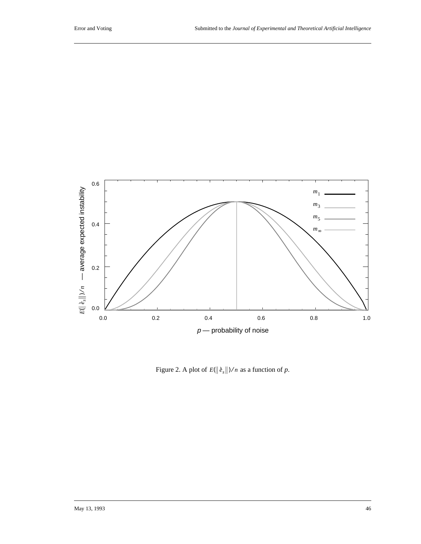

Figure 2. A plot of  $E(\|\tilde{e}_s\|)/n$  as a function of p.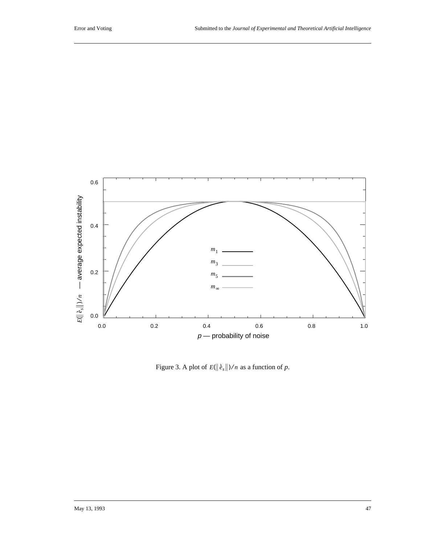

Figure 3. A plot of  $E(\|\tilde{e}_s\|)/n$  as a function of p.